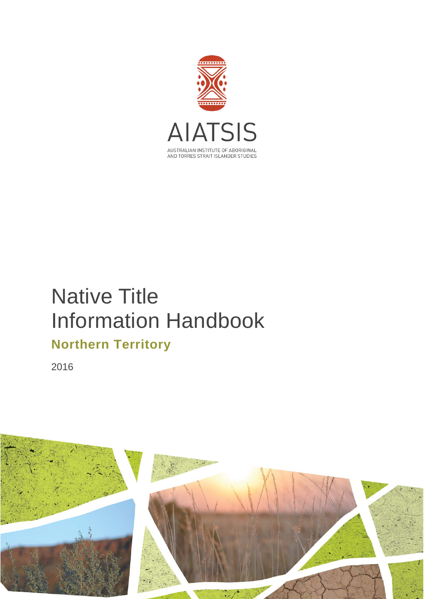

# Native Title Information Handbook

# **Northern Territory**

2016

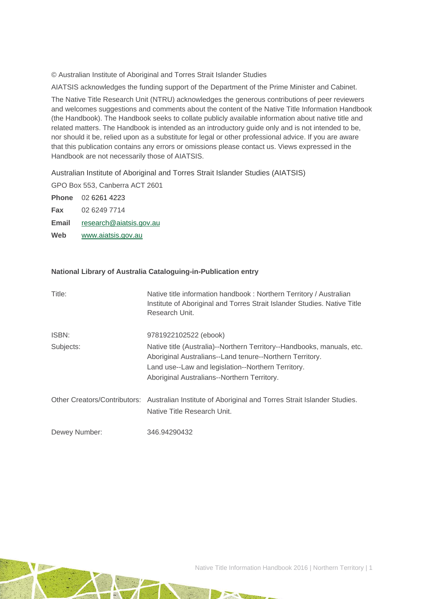© Australian Institute of Aboriginal and Torres Strait Islander Studies

AIATSIS acknowledges the funding support of the Department of the Prime Minister and Cabinet.

The Native Title Research Unit (NTRU) acknowledges the generous contributions of peer reviewers and welcomes suggestions and comments about the content of the Native Title Information Handbook (the Handbook). The Handbook seeks to collate publicly available information about native title and related matters. The Handbook is intended as an introductory guide only and is not intended to be, nor should it be, relied upon as a substitute for legal or other professional advice. If you are aware that this publication contains any errors or omissions please contact us. Views expressed in the Handbook are not necessarily those of AIATSIS.

Australian Institute of Aboriginal and Torres Strait Islander Studies (AIATSIS)

GPO Box 553, Canberra ACT 2601

**Phone** 02 6261 4223 **Fax** 02 6249 7714

**Email** [research@aiatsis.gov.au](mailto:research@aiatsis.gov.au)

**Web** [www.aiatsis.gov.au](http://www.aiatsis.gov.au/) 

#### **National Library of Australia Cataloguing-in-Publication entry**

| Title:        | Native title information handbook: Northern Territory / Australian<br>Institute of Aboriginal and Torres Strait Islander Studies. Native Title<br>Research Unit.                                                                        |
|---------------|-----------------------------------------------------------------------------------------------------------------------------------------------------------------------------------------------------------------------------------------|
| ISBN:         | 9781922102522 (ebook)                                                                                                                                                                                                                   |
| Subjects:     | Native title (Australia)--Northern Territory--Handbooks, manuals, etc.<br>Aboriginal Australians--Land tenure--Northern Territory.<br>Land use--Law and legislation--Northern Territory.<br>Aboriginal Australians--Northern Territory. |
|               | Other Creators/Contributors: Australian Institute of Aboriginal and Torres Strait Islander Studies.<br>Native Title Research Unit.                                                                                                      |
| Dewey Number: | 346.94290432                                                                                                                                                                                                                            |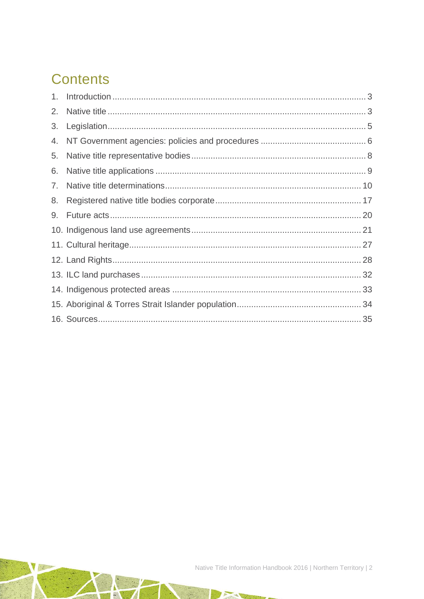# **Contents**

| 2. |  |
|----|--|
| 3. |  |
| 4. |  |
| 5. |  |
| 6. |  |
| 7. |  |
| 8. |  |
| 9. |  |
|    |  |
|    |  |
|    |  |
|    |  |
|    |  |
|    |  |
|    |  |

 $\rightarrow$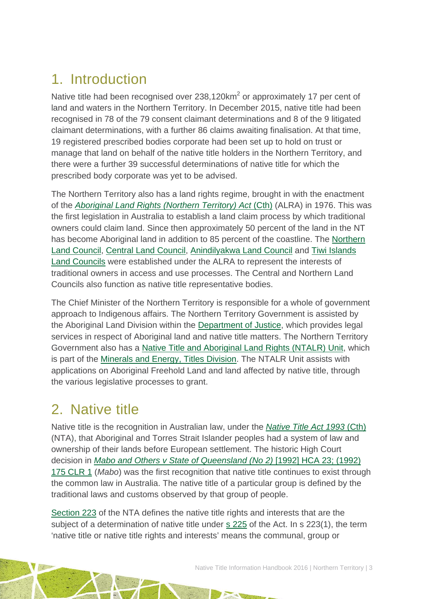# <span id="page-3-0"></span>1. Introduction

Native title had been recognised over  $238,120 \text{km}^2$  or approximately 17 per cent of land and waters in the Northern Territory. In December 2015, native title had been recognised in 78 of the 79 consent claimant determinations and 8 of the 9 litigated claimant determinations, with a further 86 claims awaiting finalisation. At that time, 19 registered prescribed bodies corporate had been set up to hold on trust or manage that land on behalf of the native title holders in the Northern Territory, and there were a further 39 successful determinations of native title for which the prescribed body corporate was yet to be advised.

The Northern Territory also has a land rights regime, brought in with the enactment of the *[Aboriginal Land Rights \(Northern Territory\) Act](http://www.austlii.edu.au/au/legis/cth/consol_act/alrta1976444/)* (Cth) (ALRA) in 1976. This was the first legislation in Australia to establish a land claim process by which traditional owners could claim land. Since then approximately 50 percent of the land in the NT has become Aboriginal land in addition to 85 percent of the coastline. The [Northern](http://www.nlc.org.au/)  [Land Council,](http://www.nlc.org.au/) [Central Land Council,](http://www.clc.org.au/) [Anindilyakwa Land Council](http://anindilyakwa.com.au/) and [Tiwi Islands](http://www.tiwilandcouncil.com/)  [Land Councils](http://www.tiwilandcouncil.com/) were established under the ALRA to represent the interests of traditional owners in access and use processes. The Central and Northern Land Councils also function as native title representative bodies.

The Chief Minister of the Northern Territory is responsible for a whole of government approach to Indigenous affairs. The Northern Territory Government is assisted by the Aboriginal Land Division within the [Department of Justice,](https://www.nt.gov.au/justice) which provides legal services in respect of Aboriginal land and native title matters. The Northern Territory Government also has a [Native Title and Aboriginal Land Rights \(NTALR\) Unit,](http://www.nt.gov.au/d/Minerals_Energy/index.cfm?header=NTALR%20Unithttp://www.nt.gov.au/d/Minerals_Energy/index.cfm?header=NTALR%20Unit) which is part of the [Minerals and Energy, Titles Division.](http://www.nt.gov.au/d/Minerals_Energy/index.cfm?header=Mines%20and%20Energy%20Home) The NTALR Unit assists with applications on Aboriginal Freehold Land and land affected by native title, through the various legislative processes to grant.

# <span id="page-3-1"></span>2. Native title

Native title is the recognition in Australian law, under the *[Native Title Act 1993](http://www.austlii.edu.au/au/legis/cth/consol_act/nta1993147/)* (Cth) (NTA), that Aboriginal and Torres Strait Islander peoples had a system of law and ownership of their lands before European settlement. The historic High Court decision in *[Mabo and Others v State of Queensland \(No 2\)](http://www.austlii.edu.au/au/cases/cth/HCA/1992/23.html)* [1992] HCA 23; (1992) [175 CLR 1](http://www.austlii.edu.au/au/cases/cth/HCA/1992/23.html) (*Mabo*) was the first recognition that native title continues to exist through the common law in Australia. The native title of a particular group is defined by the traditional laws and customs observed by that group of people.

[Section 223](http://www.austlii.edu.au/au/legis/cth/consol_act/nta1993147/s223.html) of the NTA defines the native title rights and interests that are the subject of a determination of native title under [s 225](http://www.austlii.edu.au/au/legis/cth/consol_act/nta1993147/s225.html) of the Act. In s 223(1), the term 'native title or native title rights and interests' means the communal, group or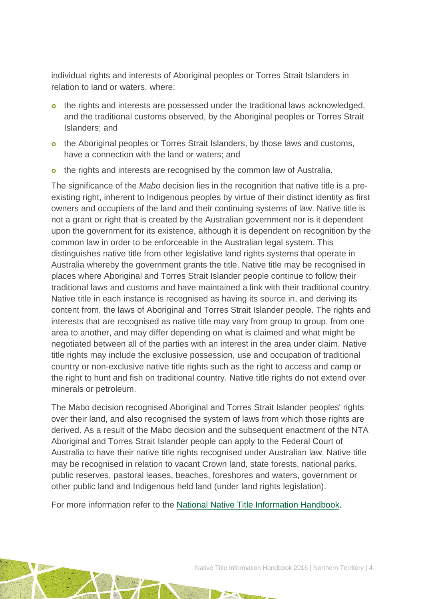individual rights and interests of Aboriginal peoples or Torres Strait Islanders in relation to land or waters, where:

- o the rights and interests are possessed under the traditional laws acknowledged, and the traditional customs observed, by the Aboriginal peoples or Torres Strait Islanders; and
- o the Aboriginal peoples or Torres Strait Islanders, by those laws and customs, have a connection with the land or waters; and
- o the rights and interests are recognised by the common law of Australia.

The significance of the *Mabo* decision lies in the recognition that native title is a preexisting right, inherent to Indigenous peoples by virtue of their distinct identity as first owners and occupiers of the land and their continuing systems of law. Native title is not a grant or right that is created by the Australian government nor is it dependent upon the government for its existence, although it is dependent on recognition by the common law in order to be enforceable in the Australian legal system. This distinguishes native title from other legislative land rights systems that operate in Australia whereby the government grants the title. Native title may be recognised in places where Aboriginal and Torres Strait Islander people continue to follow their traditional laws and customs and have maintained a link with their traditional country. Native title in each instance is recognised as having its source in, and deriving its content from, the laws of Aboriginal and Torres Strait Islander people. The rights and interests that are recognised as native title may vary from group to group, from one area to another, and may differ depending on what is claimed and what might be negotiated between all of the parties with an interest in the area under claim. Native title rights may include the exclusive possession, use and occupation of traditional country or non-exclusive native title rights such as the right to access and camp or the right to hunt and fish on traditional country. Native title rights do not extend over minerals or petroleum.

The Mabo decision recognised Aboriginal and Torres Strait Islander peoples' rights over their land, and also recognised the system of laws from which those rights are derived. As a result of the Mabo decision and the subsequent enactment of the NTA Aboriginal and Torres Strait Islander people can apply to the Federal Court of Australia to have their native title rights recognised under Australian law. Native title may be recognised in relation to vacant Crown land, state forests, national parks, public reserves, pastoral leases, beaches, foreshores and waters, government or other public land and Indigenous held land (under land rights legislation).

For more information refer to the [National Native Title](http://aiatsis.gov.au/publications/products/native-title-information-handbooks/) Information Handbook.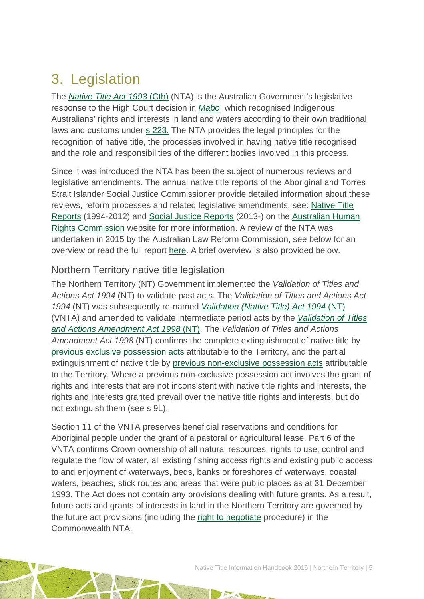# <span id="page-5-0"></span>3. Legislation

The *[Native Title Act 1993](http://www.austlii.edu.au/au/legis/cth/consol_act/nta1993147/)* (Cth) (NTA) is the Australian Government's legislative response to the High Court decision in *[Mabo](http://www.austlii.edu.au/au/cases/cth/HCA/1992/23.html)*, which recognised Indigenous Australians' rights and interests in land and waters according to their own traditional laws and customs under [s 223.](http://www.austlii.edu.au/au/legis/cth/consol_act/nta1993147/s223.html) The NTA provides the legal principles for the recognition of native title, the processes involved in having native title recognised and the role and responsibilities of the different bodies involved in this process.

Since it was introduced the NTA has been the subject of numerous reviews and legislative amendments. The annual native title reports of the Aboriginal and Torres Strait Islander Social Justice Commissioner provide detailed information about these reviews, reform processes and related legislative amendments, see: [Native Title](https://www.humanrights.gov.au/our-work/aboriginal-and-torres-strait-islander-social-justice/publications/native-title-reports)  [Reports](https://www.humanrights.gov.au/our-work/aboriginal-and-torres-strait-islander-social-justice/publications/native-title-reports) (1994-2012) and [Social Justice Reports](https://www.humanrights.gov.au/our-work/aboriginal-and-torres-strait-islander-social-justice/projects/social-justice-and-native) (2013-) on the [Australian Human](https://www.humanrights.gov.au/)  [Rights Commission](https://www.humanrights.gov.au/) website for more information. A review of the NTA was undertaken in 2015 by the Australian Law Reform Commission, see below for an overview or read the full report [here.](https://www.alrc.gov.au/publications/alrc126) A brief overview is also provided below.

### Northern Territory native title legislation

The Northern Territory (NT) Government implemented the *Validation of Titles and Actions Act 1994* (NT) to validate past acts. The *Validation of Titles and Actions Act 1994* (NT) was subsequently re-named *[Validation \(Native Title\) Act 1994](http://www.austlii.edu.au/au/legis/nt/consol_act/vta244/)* (NT) (VNTA) and amended to validate intermediate period acts by the *[Validation of Titles](http://notes.nt.gov.au/dcm/legislat/legislat.nsf/0/168c55192dcf85aa6925679f0015f50f?OpenDocument)  [and Actions Amendment Act 1998](http://notes.nt.gov.au/dcm/legislat/legislat.nsf/0/168c55192dcf85aa6925679f0015f50f?OpenDocument)* (NT). The *Validation of Titles and Actions Amendment Act 1998* (NT) confirms the complete extinguishment of native title by [previous exclusive possession acts](http://www.nntt.gov.au/Pages/Glossary.aspx) attributable to the Territory, and the partial extinguishment of native title by [previous non-exclusive possession acts](http://www.nntt.gov.au/Pages/Glossary.aspx) attributable to the Territory. Where a previous non-exclusive possession act involves the grant of rights and interests that are not inconsistent with native title rights and interests, the rights and interests granted prevail over the native title rights and interests, but do not extinguish them (see s 9L).

Section 11 of the VNTA preserves beneficial reservations and conditions for Aboriginal people under the grant of a pastoral or agricultural lease. Part 6 of the VNTA confirms Crown ownership of all natural resources, rights to use, control and regulate the flow of water, all existing fishing access rights and existing public access to and enjoyment of waterways, beds, banks or foreshores of waterways, coastal waters, beaches, stick routes and areas that were public places as at 31 December 1993. The Act does not contain any provisions dealing with future grants. As a result, future acts and grants of interests in land in the Northern Territory are governed by the future act provisions (including the [right to negotiate](http://www.nntt.gov.au/Pages/Glossary.aspx) procedure) in the Commonwealth NTA.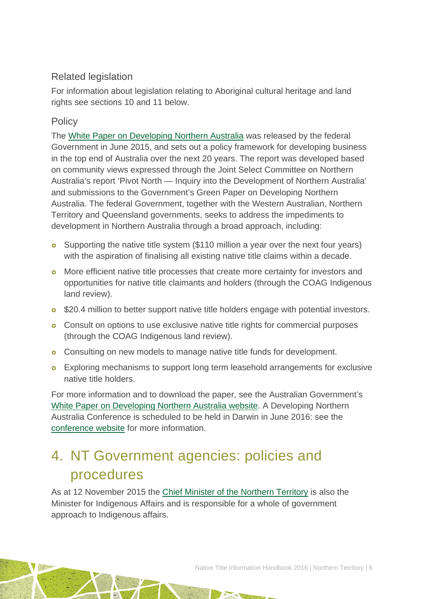### Related legislation

For information about legislation relating to Aboriginal cultural heritage and land rights see sections 10 and 11 below.

## **Policy**

The [White Paper on Developing Northern Australia](http://industry.gov.au/ONA/whitePaper/Paper/index.html) was released by the federal Government in June 2015, and sets out a policy framework for developing business in the top end of Australia over the next 20 years. The report was developed based on community views expressed through the Joint Select Committee on Northern Australia's report 'Pivot North — Inquiry into the Development of Northern Australia' and submissions to the Government's Green Paper on Developing Northern Australia. The federal Government, together with the Western Australian, Northern Territory and Queensland governments, seeks to address the impediments to development in Northern Australia through a broad approach, including:

- **o** Supporting the native title system (\$110 million a year over the next four years) with the aspiration of finalising all existing native title claims within a decade.
- More efficient native title processes that create more certainty for investors and opportunities for native title claimants and holders (through the COAG Indigenous land review).
- **o** \$20.4 million to better support native title holders engage with potential investors.
- **o** Consult on options to use exclusive native title rights for commercial purposes (through the COAG Indigenous land review).
- **o** Consulting on new models to manage native title funds for development.
- **o** Exploring mechanisms to support long term leasehold arrangements for exclusive native title holders.

For more information and to download the paper, see the Australian Government's [White Paper on Developing Northern Australia website.](http://industry.gov.au/ONA/WhitePaper/index.html) A Developing Northern Australia Conference is scheduled to be held in Darwin in June 2016: see the [conference website](http://northaust.org.au/) for more information.

# <span id="page-6-0"></span>4. NT Government agencies: policies and procedures

As at 12 November 2015 the [Chief Minister of the Northern Territory](http://www.nt.gov.au/ntg/chiefmin.shtml) is also the Minister for Indigenous Affairs and is responsible for a whole of government approach to Indigenous affairs.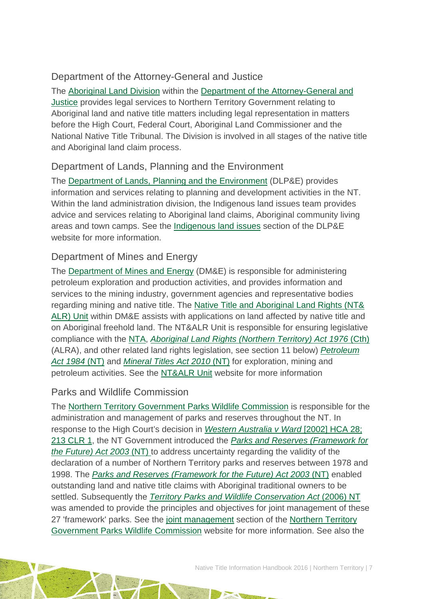## Department of the Attorney-General and Justice

The [Aboriginal Land Division](http://www.nt.gov.au/justice/solicitor/legal/abland.shtml) within the [Department of the Attorney-General and](http://www.nt.gov.au/justice/)  [Justice](http://www.nt.gov.au/justice/) provides legal services to Northern Territory Government relating to Aboriginal land and native title matters including legal representation in matters before the High Court, Federal Court, Aboriginal Land Commissioner and the National Native Title Tribunal. The Division is involved in all stages of the native title and Aboriginal land claim process.

### Department of Lands, Planning and the Environment

The [Department of Lands, Planning and the Environment](http://www.lands.nt.gov.au/) (DLP&E) provides information and services relating to planning and development activities in the NT. Within the land administration division, the Indigenous land issues team provides advice and services relating to Aboriginal land claims, Aboriginal community living areas and town camps. See the [Indigenous land issues](http://www.lands.nt.gov.au/landadmin/indigenous-land-issues) section of the DLP&E website for more information.

### Department of Mines and Energy

The [Department of Mines and Energy](http://www.nt.gov.au/d/Minerals_Energy/index.cfm?header=Mines%20and%20Energy%20Home) (DM&E) is responsible for administering petroleum exploration and production activities, and provides information and services to the mining industry, government agencies and representative bodies regarding mining and native title. The [Native Title and Aboriginal Land Rights \(NT&](http://www.nt.gov.au/d/Minerals_Energy/index.cfm?header=NTALR%20Unit)  [ALR\) Unit](http://www.nt.gov.au/d/Minerals_Energy/index.cfm?header=NTALR%20Unit) within DM&E assists with applications on land affected by native title and on Aboriginal freehold land. The NT&ALR Unit is responsible for ensuring legislative compliance with the [NTA,](http://www5.austlii.edu.au/au/legis/cth/consol_act/nta1993147/) *[Aboriginal Land Rights \(Northern Territory\) Act 1976](http://www.austlii.edu.au/au/legis/cth/consol_act/alrta1976444/)* (Cth) (ALRA), and other related land rights legislation, see section 11 below) *[Petroleum](http://www5.austlii.edu.au/au/legis/nt/consol_act/pa137/) [Act 1984](http://www5.austlii.edu.au/au/legis/nt/consol_act/pa137/)* (NT) and *[Mineral Titles Act 2010](http://www.austlii.edu.au/au/legis/nt/num_act/mta201027o2010211/)* (NT) for exploration, mining and petroleum activities. See the [NT&ALR Unit](http://www.nt.gov.au/d/Minerals_Energy/index.cfm?header=NTALR%20Unit) website for more information

### Parks and Wildlife Commission

The [Northern Territory Government Parks Wildlife Commission](http://www.parksandwildlife.nt.gov.au/home) is responsible for the administration and management of parks and reserves throughout the NT. In response to the High Court's decision in *[Western Australia](http://www.austlii.edu.au/au/cases/cth/HCA/2002/28.html) v Ward* [2002] HCA 28; [213 CLR 1,](http://www.austlii.edu.au/au/cases/cth/HCA/2002/28.html) the NT Government introduced the *[Parks and Reserves \(Framework for](http://www.austlii.edu.au/au/legis/nt/consol_act/parftfa452/)  [the Future\) Act 2003](http://www.austlii.edu.au/au/legis/nt/consol_act/parftfa452/)* (NT) to address uncertainty regarding the validity of the declaration of a number of Northern Territory parks and reserves between 1978 and 1998. The *[Parks and Reserves \(Framework for the Future\) Act 2003](http://www.austlii.edu.au/au/legis/nt/consol_act/parftfa452/)* (NT) enabled outstanding land and native title claims with Aboriginal traditional owners to be settled. Subsequently the *[Territory Parks and Wildlife Conservation Act](http://www5.austlii.edu.au/au/legis/nt/consol_act/tpawca451/)* (2006) NT was amended to provide the principles and objectives for joint management of these 27 'framework' parks. See the [joint management](http://www.parksandwildlife.nt.gov.au/manage/?a=2094) section of the [Northern Territory](http://www.parksandwildlife.nt.gov.au/home)  [Government Parks Wildlife Commission](http://www.parksandwildlife.nt.gov.au/home) website for more information. See also the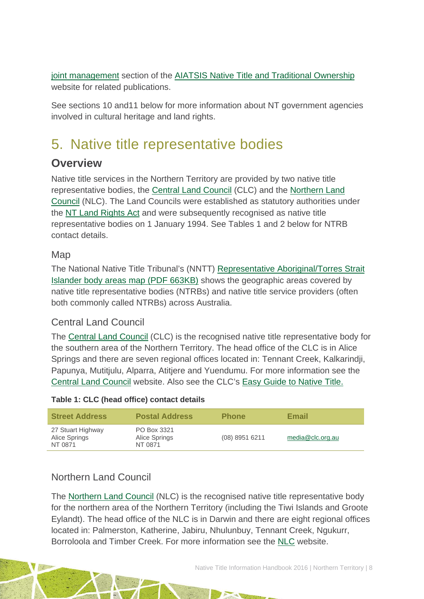[joint management](http://aiatsis.gov.au/research-and-guides/joint-management-and-native-title) section of the [AIATSIS Native Title and Traditional Ownership](http://aiatsis.gov.au/research/research-themes/native-title) website for related publications.

See sections 10 and11 below for more information about NT government agencies involved in cultural heritage and land rights.

# <span id="page-8-0"></span>5. Native title representative bodies

## **Overview**

Native title services in the Northern Territory are provided by two native title representative bodies, the [Central Land Council](http://www.clc.org.au/) (CLC) and the [Northern Land](http://www.nlc.org.au/)  [Council](http://www.nlc.org.au/) (NLC). The Land Councils were established as statutory authorities under the [NT Land Rights Act](http://www.austlii.edu.au/au/legis/cth/consol_act/alrta1976444/) and were subsequently recognised as native title representative bodies on 1 January 1994. See Tables 1 and 2 below for NTRB contact details.

### Map

The National Native Title Tribunal's (NNTT) [Representative Aboriginal/Torres Strait](http://www.nntt.gov.au/Maps/RATSIB_map.pdf)  [Islander body areas map \(PDF 663KB\)](http://www.nntt.gov.au/Maps/RATSIB_map.pdf) shows the geographic areas covered by native title representative bodies (NTRBs) and native title service providers (often both commonly called NTRBs) across Australia.

### Central Land Council

The [Central Land Council](http://www.clc.org.au/) (CLC) is the recognised native title representative body for the southern area of the Northern Territory. The head office of the CLC is in Alice Springs and there are seven regional offices located in: Tennant Creek, Kalkarindji, Papunya, Mutitjulu, Alparra, Atitjere and Yuendumu. For more information see the [Central Land Council](http://www.clc.org.au/) website. Also see the CLC's [Easy Guide to Native Title.](http://www.clc.org.au/articles/info/what-is-the-native-title/)

### **Table 1: CLC (head office) contact details**

| <b>Street Address</b>                         | <b>Postal Address</b>                   | <b>Phone</b>   | Email            |
|-----------------------------------------------|-----------------------------------------|----------------|------------------|
| 27 Stuart Highway<br>Alice Springs<br>NT 0871 | PO Box 3321<br>Alice Springs<br>NT 0871 | (08) 8951 6211 | media@clc.org.au |

## Northern Land Council

The [Northern Land Council](http://www.nlc.org.au/) (NLC) is the recognised native title representative body for the northern area of the Northern Territory (including the Tiwi Islands and Groote Eylandt). The head office of the NLC is in Darwin and there are eight regional offices located in: Palmerston, Katherine, Jabiru, Nhulunbuy, Tennant Creek, Ngukurr, Borroloola and Timber Creek. For more information see the [NLC](http://www.nlc.org.au/) website.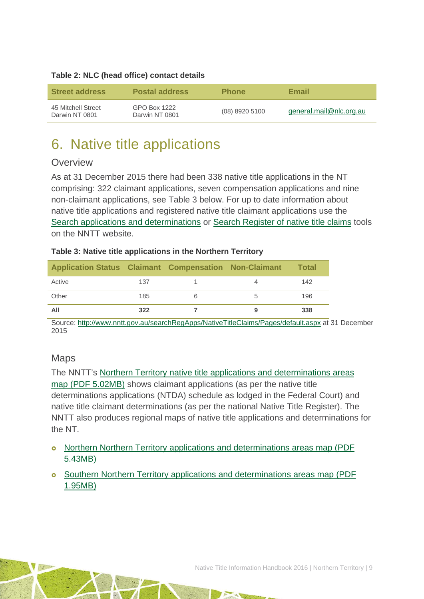### **Table 2: NLC (head office) contact details**

| <b>Street address</b>                | <b>Postal address</b>          | <b>Phone</b>   | Email                   |
|--------------------------------------|--------------------------------|----------------|-------------------------|
| 45 Mitchell Street<br>Darwin NT 0801 | GPO Box 1222<br>Darwin NT 0801 | (08) 8920 5100 | general.mail@nlc.org.au |

# <span id="page-9-0"></span>6. Native title applications

### **Overview**

As at 31 December 2015 there had been 338 native title applications in the NT comprising: 322 claimant applications, seven compensation applications and nine non-claimant applications, see Table 3 below. For up to date information about native title applications and registered native title claimant applications use the [Search applications and determinations](http://www.nntt.gov.au/searchRegApps/NativeTitleClaims/Pages/default.aspx) or [Search Register of native title claims](http://www.nntt.gov.au/searchRegApps/NativeTitleRegisters/Pages/Search-Register-of-Native-Title-Claims.aspx) tools on the NNTT website.

#### **Table 3: Native title applications in the Northern Territory**

| <b>Application Status Claimant Compensation Non-Claimant</b> |     |  | <b>Total</b> |
|--------------------------------------------------------------|-----|--|--------------|
| Active                                                       | 137 |  | 142          |
| Other                                                        | 185 |  | 196          |
| All                                                          | 322 |  | 338          |

Source: <http://www.nntt.gov.au/searchRegApps/NativeTitleClaims/Pages/default.aspx> at 31 December 2015

### Maps

The NNTT's [Northern Territory native title applications and determinations areas](http://www.nntt.gov.au/Maps/NT_Northern_NTDA_Schedule.pdf)  [map \(PDF 5.02MB\)](http://www.nntt.gov.au/Maps/NT_Northern_NTDA_Schedule.pdf) shows claimant applications (as per the native title determinations applications (NTDA) schedule as lodged in the Federal Court) and native title claimant determinations (as per the national Native Title Register). The NNTT also produces regional maps of native title applications and determinations for the NT.

- o [Northern Northern Territory applications and determinations areas map \(PDF](http://www.nntt.gov.au/Maps/NT_Northern_NTDA_Schedule.pdf) [5.43MB\)](http://www.nntt.gov.au/Maps/NT_Northern_NTDA_Schedule.pdf)
- [Southern Northern Territory applications and determinations areas map \(PDF](http://www.nntt.gov.au/Maps/NT_Southern_NTDA_Schedule.pdf)  [1.95MB\)](http://www.nntt.gov.au/Maps/NT_Southern_NTDA_Schedule.pdf)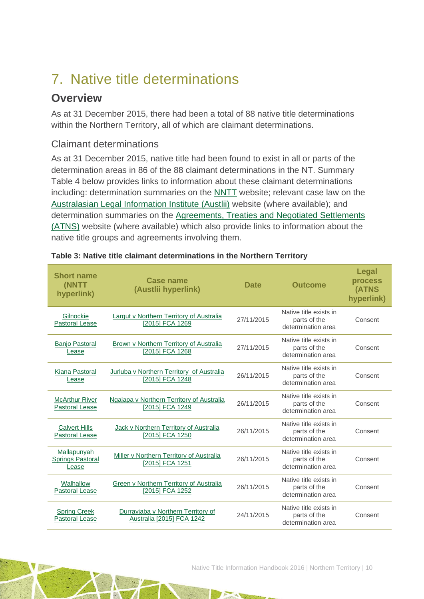# <span id="page-10-0"></span>7. Native title determinations

## **Overview**

As at 31 December 2015, there had been a total of 88 native title determinations within the Northern Territory, all of which are claimant determinations.

### Claimant determinations

As at 31 December 2015, native title had been found to exist in all or parts of the determination areas in 86 of the 88 claimant determinations in the NT. Summary Table 4 below provides links to information about these claimant determinations including: determination summaries on the [NNTT](http://www.nntt.gov.au/) website; relevant case law on the [Australasian Legal Information Institute \(Austlii\)](http://www.austlii.edu.au/) website (where available); and determination summaries on the [Agreements, Treaties and Negotiated Settlements](http://www.atns.net.au/)  [\(ATNS\)](http://www.atns.net.au/) website (where available) which also provide links to information about the native title groups and agreements involving them.

| <b>Short name</b><br>(NNTT<br>hyperlink)        | <b>Case name</b><br>(Austlii hyperlink)                           | <b>Date</b> | <b>Outcome</b>                                               | <b>Legal</b><br>process<br>(ATNS<br>hyperlink) |
|-------------------------------------------------|-------------------------------------------------------------------|-------------|--------------------------------------------------------------|------------------------------------------------|
| Gilnockie<br><b>Pastoral Lease</b>              | Largut v Northern Territory of Australia<br>[2015] FCA 1269       | 27/11/2015  | Native title exists in<br>parts of the<br>determination area | Consent                                        |
| <b>Banio Pastoral</b><br>Lease                  | Brown v Northern Territory of Australia<br>[2015] FCA 1268        | 27/11/2015  | Native title exists in<br>parts of the<br>determination area | Consent                                        |
| Kiana Pastoral<br>Lease                         | Jurluba v Northern Territory of Australia<br>[2015] FCA 1248      | 26/11/2015  | Native title exists in<br>parts of the<br>determination area | Consent                                        |
| <b>McArthur River</b><br><b>Pastoral Lease</b>  | Ngajapa v Northern Territory of Australia<br>[2015] FCA 1249      | 26/11/2015  | Native title exists in<br>parts of the<br>determination area | Consent                                        |
| <b>Calvert Hills</b><br><b>Pastoral Lease</b>   | Jack v Northern Territory of Australia<br>[2015] FCA 1250         | 26/11/2015  | Native title exists in<br>parts of the<br>determination area | Consent                                        |
| Mallapunyah<br><b>Springs Pastoral</b><br>Lease | Miller v Northern Territory of Australia<br>[2015] FCA 1251       | 26/11/2015  | Native title exists in<br>parts of the<br>determination area | Consent                                        |
| Walhallow<br><b>Pastoral Lease</b>              | <b>Green v Northern Territory of Australia</b><br>[2015] FCA 1252 | 26/11/2015  | Native title exists in<br>parts of the<br>determination area | Consent                                        |
| <b>Spring Creek</b><br><b>Pastoral Lease</b>    | Durrayjaba v Northern Territory of<br>Australia [2015] FCA 1242   | 24/11/2015  | Native title exists in<br>parts of the<br>determination area | Consent                                        |

### **Table 3: Native title claimant determinations in the Northern Territory**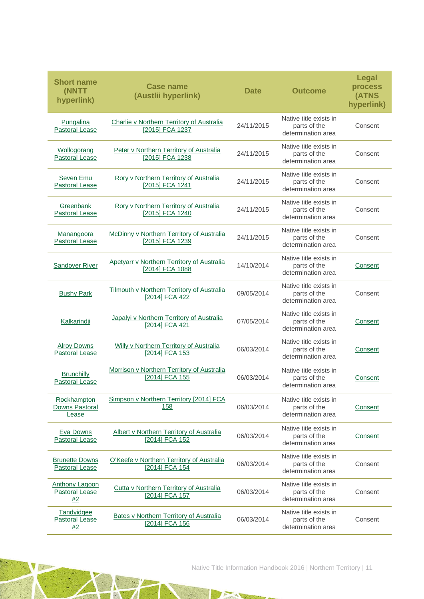| <b>Short name</b><br>(NNTT<br>hyperlink)             | <b>Case name</b><br>(Austlii hyperlink)                          | <b>Date</b> | <b>Outcome</b>                                               | <b>Legal</b><br>process<br>(ATNS<br>hyperlink) |
|------------------------------------------------------|------------------------------------------------------------------|-------------|--------------------------------------------------------------|------------------------------------------------|
| Pungalina<br><b>Pastoral Lease</b>                   | Charlie v Northern Territory of Australia<br>[2015] FCA 1237     | 24/11/2015  | Native title exists in<br>parts of the<br>determination area | Consent                                        |
| Wollogorang<br>Pastoral Lease                        | Peter v Northern Territory of Australia<br>[2015] FCA 1238       | 24/11/2015  | Native title exists in<br>parts of the<br>determination area | Consent                                        |
| Seven Emu<br><b>Pastoral Lease</b>                   | Rory v Northern Territory of Australia<br>[2015] FCA 1241        | 24/11/2015  | Native title exists in<br>parts of the<br>determination area | Consent                                        |
| Greenbank<br><b>Pastoral Lease</b>                   | Rory v Northern Territory of Australia<br>[2015] FCA 1240        | 24/11/2015  | Native title exists in<br>parts of the<br>determination area | Consent                                        |
| Manangoora<br><b>Pastoral Lease</b>                  | McDinny v Northern Territory of Australia<br>[2015] FCA 1239     | 24/11/2015  | Native title exists in<br>parts of the<br>determination area | Consent                                        |
| <b>Sandover River</b>                                | Apetyarr v Northern Territory of Australia<br>[2014] FCA 1088    | 14/10/2014  | Native title exists in<br>parts of the<br>determination area | Consent                                        |
| <b>Bushy Park</b>                                    | Tilmouth v Northern Territory of Australia<br>[2014] FCA 422     | 09/05/2014  | Native title exists in<br>parts of the<br>determination area | Consent                                        |
| Kalkarindji                                          | Japalyi v Northern Territory of Australia<br>[2014] FCA 421      | 07/05/2014  | Native title exists in<br>parts of the<br>determination area | Consent                                        |
| <b>Alroy Downs</b><br><b>Pastoral Lease</b>          | Willy v Northern Territory of Australia<br>[2014] FCA 153        | 06/03/2014  | Native title exists in<br>parts of the<br>determination area | Consent                                        |
| <b>Brunchilly</b><br><b>Pastoral Lease</b>           | Morrison v Northern Territory of Australia<br>[2014] FCA 155     | 06/03/2014  | Native title exists in<br>parts of the<br>determination area | Consent                                        |
| Rockhampton<br><b>Downs Pastoral</b><br><u>Lease</u> | Simpson v Northern Territory [2014] FCA<br><u>158</u>            | 06/03/2014  | Native title exists in<br>parts of the<br>determination area | Consent                                        |
| <b>Eva Downs</b><br><b>Pastoral Lease</b>            | Albert v Northern Territory of Australia<br>[2014] FCA 152       | 06/03/2014  | Native title exists in<br>parts of the<br>determination area | Consent                                        |
| <b>Brunette Downs</b><br>Pastoral Lease              | O'Keefe v Northern Territory of Australia<br>[2014] FCA 154      | 06/03/2014  | Native title exists in<br>parts of the<br>determination area | Consent                                        |
| Anthony Lagoon<br><b>Pastoral Lease</b><br>#2        | Cutta v Northern Territory of Australia<br>[2014] FCA 157        | 06/03/2014  | Native title exists in<br>parts of the<br>determination area | Consent                                        |
| Tandyidgee<br><b>Pastoral Lease</b><br>#2            | <b>Bates v Northern Territory of Australia</b><br>[2014] FCA 156 | 06/03/2014  | Native title exists in<br>parts of the<br>determination area | Consent                                        |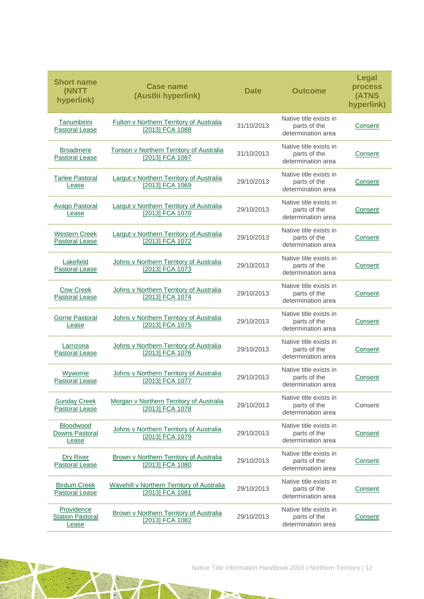| <b>Short name</b><br>(NNTT<br>hyperlink)       | <b>Case name</b><br>(Austlii hyperlink)                            | <b>Date</b> | <b>Outcome</b>                                               | <b>Legal</b><br>process<br>(ATNS<br>hyperlink) |
|------------------------------------------------|--------------------------------------------------------------------|-------------|--------------------------------------------------------------|------------------------------------------------|
| Tanumbirini<br><b>Pastoral Lease</b>           | Fulton v Northern Territory of Australia<br>[2013] FCA 1088        | 31/10/2013  | Native title exists in<br>parts of the<br>determination area | Consent                                        |
| <b>Broadmere</b><br><b>Pastoral Lease</b>      | Tonson v Northern Territory of Australia<br>[2013] FCA 1087        | 31/10/2013  | Native title exists in<br>parts of the<br>determination area | Consent                                        |
| <b>Tarlee Pastoral</b><br>Lease                | <b>Largut v Northern Territory of Australia</b><br>[2013] FCA 1069 | 29/10/2013  | Native title exists in<br>parts of the<br>determination area | Consent                                        |
| <b>Avago Pastoral</b><br>Lease                 | <b>Largut v Northern Territory of Australia</b><br>[2013] FCA 1070 | 29/10/2013  | Native title exists in<br>parts of the<br>determination area | Consent                                        |
| <b>Western Creek</b><br><b>Pastoral Lease</b>  | Largut v Northern Territory of Australia<br>[2013] FCA 1072        | 29/10/2013  | Native title exists in<br>parts of the<br>determination area | Consent                                        |
| Lakefield<br><b>Pastoral Lease</b>             | Johns v Northern Territory of Australia<br>[2013] FCA 1073         | 29/10/2013  | Native title exists in<br>parts of the<br>determination area | Consent                                        |
| <b>Cow Creek</b><br><b>Pastoral Lease</b>      | Johns v Northern Territory of Australia<br>[2013] FCA 1074         | 29/10/2013  | Native title exists in<br>parts of the<br>determination area | Consent                                        |
| <b>Gorrie Pastoral</b><br>Lease                | Johns v Northern Territory of Australia<br>[2013] FCA 1075         | 29/10/2013  | Native title exists in<br>parts of the<br>determination area | Consent                                        |
| Larrizona<br><b>Pastoral Lease</b>             | Johns v Northern Territory of Australia<br>[2013] FCA 1076         | 29/10/2013  | Native title exists in<br>parts of the<br>determination area | Consent                                        |
| Wyworrie<br><b>Pastoral Lease</b>              | Johns v Northern Territory of Australia<br>[2013] FCA 1077         | 29/10/2013  | Native title exists in<br>parts of the<br>determination area | Consent                                        |
| <b>Sunday Creek</b><br><b>Pastoral Lease</b>   | Morgan v Northern Territory of Australia<br>[2013] FCA 1078        | 29/10/2013  | Native title exists in<br>parts of the<br>determination area | Consent                                        |
| Bloodwood<br>Downs Pastoral<br>Lease           | Johns v Northern Territory of Australia<br>[2013] FCA 1079         | 29/10/2013  | Native title exists in<br>parts of the<br>determination area | Consent                                        |
| <b>Dry River</b><br><b>Pastoral Lease</b>      | Brown v Northern Territory of Australia<br>[2013] FCA 1080         | 29/10/2013  | Native title exists in<br>parts of the<br>determination area | Consent                                        |
| <b>Birdum Creek</b><br><b>Pastoral Lease</b>   | Wavehill v Northern Territory of Australia<br>[2013] FCA 1081      | 29/10/2013  | Native title exists in<br>parts of the<br>determination area | Consent                                        |
| Providence<br><b>Station Pastoral</b><br>Lease | Brown v Northern Territory of Australia<br>[2013] FCA 1082         | 29/10/2013  | Native title exists in<br>parts of the<br>determination area | Consent                                        |

A

N

**A**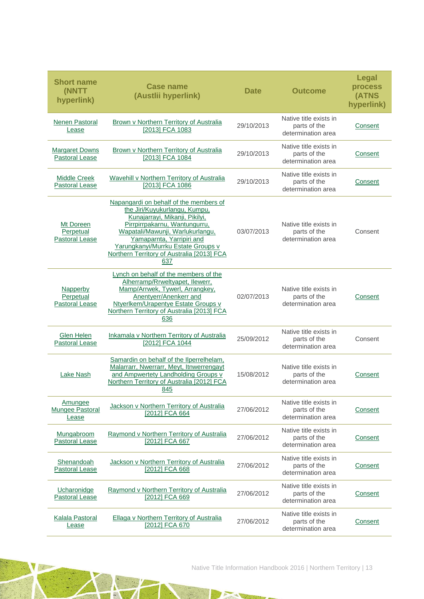| <b>Short name</b><br><b>(NNTT)</b><br>hyperlink) | <b>Case name</b><br>(Austlii hyperlink)                                                                                                                                                                                                                                                                | <b>Date</b> | <b>Outcome</b>                                               | Legal<br>process<br>(ATNS<br>hyperlink) |
|--------------------------------------------------|--------------------------------------------------------------------------------------------------------------------------------------------------------------------------------------------------------------------------------------------------------------------------------------------------------|-------------|--------------------------------------------------------------|-----------------------------------------|
| <b>Nenen Pastoral</b><br>Lease                   | <b>Brown v Northern Territory of Australia</b><br>[2013] FCA 1083                                                                                                                                                                                                                                      | 29/10/2013  | Native title exists in<br>parts of the<br>determination area | Consent                                 |
| <b>Margaret Downs</b><br><b>Pastoral Lease</b>   | Brown v Northern Territory of Australia<br>[2013] FCA 1084                                                                                                                                                                                                                                             | 29/10/2013  | Native title exists in<br>parts of the<br>determination area | Consent                                 |
| <b>Middle Creek</b><br><b>Pastoral Lease</b>     | Wavehill v Northern Territory of Australia<br>[2013] FCA 1086                                                                                                                                                                                                                                          | 29/10/2013  | Native title exists in<br>parts of the<br>determination area | Consent                                 |
| Mt Doreen<br>Perpetual<br><b>Pastoral Lease</b>  | Napangardi on behalf of the members of<br>the Jiri/Kuyukurlangu, Kumpu,<br>Kunajarrayi, Mikanji, Pikilyi,<br>Pirrpirrpakarnu, Wantungurru,<br>Wapatali/Mawunji, Warlukurlangu,<br>Yamaparnta, Yarripiri and<br>Yarungkanyi/Murrku Estate Groups v<br>Northern Territory of Australia [2013] FCA<br>637 | 03/07/2013  | Native title exists in<br>parts of the<br>determination area | Consent                                 |
| Napperby<br>Perpetual<br><b>Pastoral Lease</b>   | Lynch on behalf of the members of the<br>Alherramp/Rrweltyapet, Ilewerr,<br>Mamp/Arrwek, Tywerl, Arrangkey,<br>Anentyerr/Anenkerr and<br>Ntyerlkem/Urapentye Estate Groups v<br>Northern Territory of Australia [2013] FCA<br>636                                                                      | 02/07/2013  | Native title exists in<br>parts of the<br>determination area | Consent                                 |
| <b>Glen Helen</b><br><b>Pastoral Lease</b>       | Inkamala v Northern Territory of Australia<br>[2012] FCA 1044                                                                                                                                                                                                                                          | 25/09/2012  | Native title exists in<br>parts of the<br>determination area | Consent                                 |
| Lake Nash                                        | Samardin on behalf of the Ilperrelhelam,<br>Malarrarr, Nwerrarr, Meyt, Itnwerrengayt<br>and Ampwertety Landholding Groups v<br>Northern Territory of Australia [2012] FCA<br>845                                                                                                                       | 15/08/2012  | Native title exists in<br>parts of the<br>determination area | Consent                                 |
| Amungee<br>Mungee Pastoral<br>Lease              | Jackson v Northern Territory of Australia<br>[2012] FCA 664                                                                                                                                                                                                                                            | 27/06/2012  | Native title exists in<br>parts of the<br>determination area | Consent                                 |
| Mungabroom<br>Pastoral Lease                     | Raymond v Northern Territory of Australia<br>[2012] FCA 667                                                                                                                                                                                                                                            | 27/06/2012  | Native title exists in<br>parts of the<br>determination area | Consent                                 |
| Shenandoah<br><b>Pastoral Lease</b>              | Jackson v Northern Territory of Australia<br>[2012] FCA 668                                                                                                                                                                                                                                            | 27/06/2012  | Native title exists in<br>parts of the<br>determination area | Consent                                 |
| Ucharonidge<br><b>Pastoral Lease</b>             | Raymond v Northern Territory of Australia<br>[2012] FCA 669                                                                                                                                                                                                                                            | 27/06/2012  | Native title exists in<br>parts of the<br>determination area | Consent                                 |
| <b>Kalala Pastoral</b><br>Lease                  | Ellaga v Northern Territory of Australia<br>[2012] FCA 670                                                                                                                                                                                                                                             | 27/06/2012  | Native title exists in<br>parts of the<br>determination area | Consent                                 |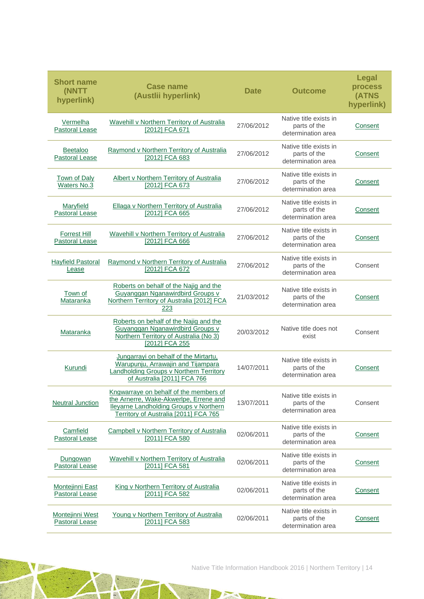| <b>Short name</b><br>(NNTT<br>hyperlink)        | <b>Case name</b><br>(Austlii hyperlink)                                                                                                                                    | <b>Date</b> | <b>Outcome</b>                                               | <b>Legal</b><br>process<br>(ATNS<br>hyperlink) |
|-------------------------------------------------|----------------------------------------------------------------------------------------------------------------------------------------------------------------------------|-------------|--------------------------------------------------------------|------------------------------------------------|
| Vermelha<br>Pastoral Lease                      | Wavehill v Northern Territory of Australia<br>[2012] FCA 671                                                                                                               | 27/06/2012  | Native title exists in<br>parts of the<br>determination area | Consent                                        |
| <b>Beetaloo</b><br><b>Pastoral Lease</b>        | Raymond v Northern Territory of Australia<br>[2012] FCA 683                                                                                                                | 27/06/2012  | Native title exists in<br>parts of the<br>determination area | Consent                                        |
| <b>Town of Daly</b><br><b>Waters No.3</b>       | Albert v Northern Territory of Australia<br>[2012] FCA 673                                                                                                                 | 27/06/2012  | Native title exists in<br>parts of the<br>determination area | Consent                                        |
| Maryfield<br><b>Pastoral Lease</b>              | Ellaga v Northern Territory of Australia<br>[2012] FCA 665                                                                                                                 | 27/06/2012  | Native title exists in<br>parts of the<br>determination area | Consent                                        |
| <b>Forrest Hill</b><br><b>Pastoral Lease</b>    | Wavehill v Northern Territory of Australia<br>[2012] FCA 666                                                                                                               | 27/06/2012  | Native title exists in<br>parts of the<br>determination area | Consent                                        |
| <b>Hayfield Pastoral</b><br>Lease               | Raymond v Northern Territory of Australia<br>[2012] FCA 672                                                                                                                | 27/06/2012  | Native title exists in<br>parts of the<br>determination area | Consent                                        |
| Town of<br>Mataranka                            | Roberts on behalf of the Najig and the<br>Guyanggan Nganawirdbird Groups v<br>Northern Territory of Australia [2012] FCA<br>223                                            | 21/03/2012  | Native title exists in<br>parts of the<br>determination area | Consent                                        |
| <b>Mataranka</b>                                | Roberts on behalf of the Najig and the<br>Guyanggan Nganawirdbird Groups v<br>Northern Territory of Australia (No 3)<br>[2012] FCA 255                                     | 20/03/2012  | Native title does not<br>exist                               | Consent                                        |
| Kurundi                                         | Jungarrayi on behalf of the Mirtartu,<br>Warupunju, Arrawajin and Tijampara<br>Landholding Groups v Northern Territory<br>of Australia [2011] FCA 766                      | 14/07/2011  | Native title exists in<br>parts of the<br>determination area | Consent                                        |
| <b>Neutral Junction</b>                         | Kngwarraye on behalf of the members of<br>the Arnerre, Wake-Akwerlpe, Errene and<br><b>Ileyarne Landholding Groups v Northern</b><br>Territory of Australia [2011] FCA 765 | 13/07/2011  | Native title exists in<br>parts of the<br>determination area | Consent                                        |
| Camfield<br>Pastoral Lease                      | Campbell v Northern Territory of Australia<br>[2011] FCA 580                                                                                                               | 02/06/2011  | Native title exists in<br>parts of the<br>determination area | <b>Consent</b>                                 |
| Dungowan<br><b>Pastoral Lease</b>               | Wavehill v Northern Territory of Australia<br>[2011] FCA 581                                                                                                               | 02/06/2011  | Native title exists in<br>parts of the<br>determination area | <b>Consent</b>                                 |
| <b>Montejinni East</b><br><b>Pastoral Lease</b> | King v Northern Territory of Australia<br>[2011] FCA 582                                                                                                                   | 02/06/2011  | Native title exists in<br>parts of the<br>determination area | <b>Consent</b>                                 |
| Montejinni West<br><b>Pastoral Lease</b>        | Young v Northern Territory of Australia<br>[2011] FCA 583                                                                                                                  | 02/06/2011  | Native title exists in<br>parts of the<br>determination area | <b>Consent</b>                                 |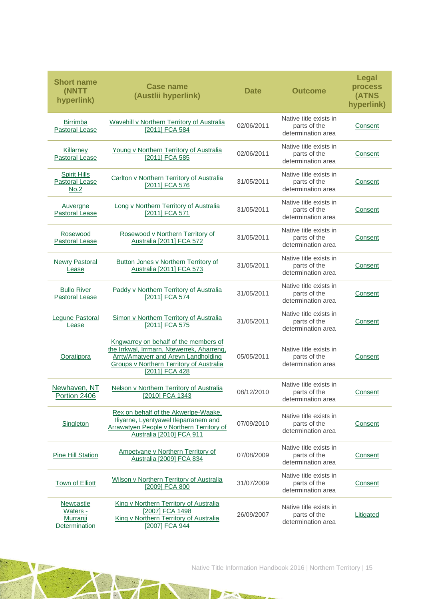| <b>Short name</b><br>(NNTT<br>hyperlink)                         | <b>Case name</b><br>(Austlii hyperlink)                                                                                                                                                          | <b>Date</b> | <b>Outcome</b>                                               | <b>Legal</b><br>process<br>(ATNS<br>hyperlink) |
|------------------------------------------------------------------|--------------------------------------------------------------------------------------------------------------------------------------------------------------------------------------------------|-------------|--------------------------------------------------------------|------------------------------------------------|
| Birrimba<br><b>Pastoral Lease</b>                                | Wavehill v Northern Territory of Australia<br>[2011] FCA 584                                                                                                                                     | 02/06/2011  | Native title exists in<br>parts of the<br>determination area | Consent                                        |
| Killarney<br><b>Pastoral Lease</b>                               | Young v Northern Territory of Australia<br>[2011] FCA 585                                                                                                                                        | 02/06/2011  | Native title exists in<br>parts of the<br>determination area | Consent                                        |
| <b>Spirit Hills</b><br><b>Pastoral Lease</b><br>No.2             | Carlton v Northern Territory of Australia<br>[2011] FCA 576                                                                                                                                      | 31/05/2011  | Native title exists in<br>parts of the<br>determination area | Consent                                        |
| Auvergne<br><b>Pastoral Lease</b>                                | Long v Northern Territory of Australia<br>[2011] FCA 571                                                                                                                                         | 31/05/2011  | Native title exists in<br>parts of the<br>determination area | Consent                                        |
| Rosewood<br><b>Pastoral Lease</b>                                | Rosewood v Northern Territory of<br>Australia [2011] FCA 572                                                                                                                                     | 31/05/2011  | Native title exists in<br>parts of the<br>determination area | Consent                                        |
| <b>Newry Pastoral</b><br>Lease                                   | Button Jones v Northern Territory of<br>Australia [2011] FCA 573                                                                                                                                 | 31/05/2011  | Native title exists in<br>parts of the<br>determination area | Consent                                        |
| <b>Bullo River</b><br><b>Pastoral Lease</b>                      | Paddy v Northern Territory of Australia<br>[2011] FCA 574                                                                                                                                        | 31/05/2011  | Native title exists in<br>parts of the<br>determination area | Consent                                        |
| <b>Legune Pastoral</b><br>Lease                                  | <b>Simon v Northern Territory of Australia</b><br>[2011] FCA 575                                                                                                                                 | 31/05/2011  | Native title exists in<br>parts of the<br>determination area | Consent                                        |
| Ooratippra                                                       | Kngwarrey on behalf of the members of<br>the Irrkwal, Irrmarn, Ntewerrek, Aharreng,<br><b>Arrty/Amatyerr and Areyn Landholding</b><br>Groups v Northern Territory of Australia<br>[2011] FCA 428 | 05/05/2011  | Native title exists in<br>parts of the<br>determination area | Consent                                        |
| Portion 2406                                                     | Newhaven, NT Nelson v Northern Territory of Australia<br>[2010] FCA 1343                                                                                                                         | 08/12/2010  | Native title exists in<br>parts of the<br>determination area | Consent                                        |
| Singleton                                                        | Rex on behalf of the Akwerlpe-Waake,<br>lliyarne, Lyentyawel lleparranem and<br><b>Arrawatyen People v Northern Territory of</b><br>Australia [2010] FCA 911                                     | 07/09/2010  | Native title exists in<br>parts of the<br>determination area | Consent                                        |
| <b>Pine Hill Station</b>                                         | Ampetyane v Northern Territory of<br>Australia [2009] FCA 834                                                                                                                                    | 07/08/2009  | Native title exists in<br>parts of the<br>determination area | Consent                                        |
| <b>Town of Elliott</b>                                           | Wilson v Northern Territory of Australia<br>[2009] FCA 800                                                                                                                                       | 31/07/2009  | Native title exists in<br>parts of the<br>determination area | Consent                                        |
| <b>Newcastle</b><br>Waters -<br>Murranji<br><b>Determination</b> | King v Northern Territory of Australia<br>[2007] FCA 1498<br>King v Northern Territory of Australia<br>[2007] FCA 944                                                                            | 26/09/2007  | Native title exists in<br>parts of the<br>determination area | Litigated                                      |

A

N

 $\mathbb{R}$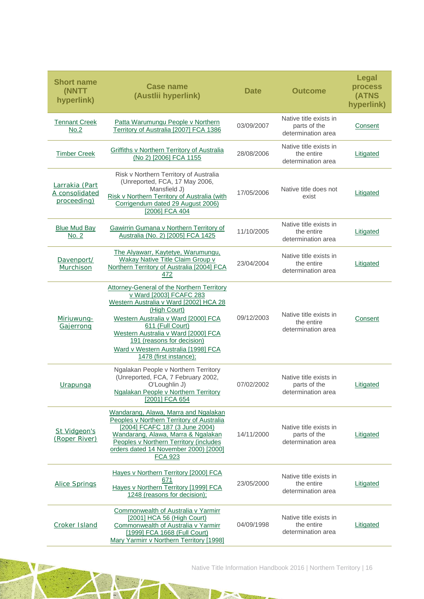| <b>Short name</b><br><b>(NNTT</b><br>hyperlink) | <b>Case name</b><br>(Austlii hyperlink)                                                                                                                                                                                                                                                                                                 | <b>Date</b> | <b>Outcome</b>                                               | <b>Legal</b><br>process<br>(ATNS<br>hyperlink) |
|-------------------------------------------------|-----------------------------------------------------------------------------------------------------------------------------------------------------------------------------------------------------------------------------------------------------------------------------------------------------------------------------------------|-------------|--------------------------------------------------------------|------------------------------------------------|
| <b>Tennant Creek</b><br>No.2                    | Patta Warumungu People v Northern<br>Territory of Australia [2007] FCA 1386                                                                                                                                                                                                                                                             | 03/09/2007  | Native title exists in<br>parts of the<br>determination area | Consent                                        |
| <b>Timber Creek</b>                             | <b>Griffiths v Northern Territory of Australia</b><br>(No 2) [2006] FCA 1155                                                                                                                                                                                                                                                            | 28/08/2006  | Native title exists in<br>the entire<br>determination area   | Litigated                                      |
| Larrakia (Part<br>A consolidated<br>proceeding) | Risk v Northern Territory of Australia<br>(Unreported, FCA, 17 May 2006,<br>Mansfield J)<br>Risk v Northern Territory of Australia (with<br>Corrigendum dated 29 August 2006)<br>[2006] FCA 404                                                                                                                                         | 17/05/2006  | Native title does not<br>exist                               | Litigated                                      |
| <b>Blue Mud Bay</b><br><u>No. 2</u>             | Gawirrin Gumana v Northern Territory of<br>Australia (No. 2) [2005] FCA 1425                                                                                                                                                                                                                                                            | 11/10/2005  | Native title exists in<br>the entire<br>determination area   | Litigated                                      |
| Davenport/<br>Murchison                         | The Alyawarr, Kaytetye, Warumungu,<br><b>Wakay Native Title Claim Group v</b><br>Northern Territory of Australia [2004] FCA<br>472                                                                                                                                                                                                      | 23/04/2004  | Native title exists in<br>the entire<br>determination area   | Litigated                                      |
| Miriuwung-<br>Gajerrong                         | <b>Attorney-General of the Northern Territory</b><br>v Ward [2003] FCAFC 283<br>Western Australia v Ward [2002] HCA 28<br>(High Court)<br>Western Australia v Ward [2000] FCA<br>611 (Full Court)<br>Western Australia v Ward [2000] FCA<br>191 (reasons for decision)<br>Ward v Western Australia [1998] FCA<br>1478 (first instance); | 09/12/2003  | Native title exists in<br>the entire<br>determination area   | Consent                                        |
| <b>Urapunga</b>                                 | Ngalakan People v Northern Territory<br>(Unreported, FCA, 7 February 2002,<br>O'Loughlin J)<br>Ngalakan People v Northern Territory<br>[2001] FCA 654                                                                                                                                                                                   | 07/02/2002  | Native title exists in<br>parts of the<br>determination area | Litigated                                      |
| St Vidgeon's<br>(Roper River)                   | Wandarang, Alawa, Marra and Ngalakan<br>Peoples v Northern Territory of Australia<br>[2004] FCAFC 187 (3 June 2004)<br>Wandarang, Alawa, Marra & Ngalakan<br>Peoples v Northern Territory (includes<br>orders dated 14 November 2000) [2000]<br><b>FCA 923</b>                                                                          | 14/11/2000  | Native title exists in<br>parts of the<br>determination area | Litigated                                      |
| <b>Alice Springs</b>                            | Hayes v Northern Territory [2000] FCA<br>671<br>Hayes v Northern Territory [1999] FCA<br>1248 (reasons for decision);                                                                                                                                                                                                                   | 23/05/2000  | Native title exists in<br>the entire<br>determination area   | <b>Litigated</b>                               |
| <b>Croker Island</b>                            | Commonwealth of Australia v Yarmirr<br>[2001] HCA 56 (High Court)<br>Commonwealth of Australia v Yarmirr<br>[1999] FCA 1668 (Full Court)<br>Mary Yarmirr v Northern Territory [1998]                                                                                                                                                    | 04/09/1998  | Native title exists in<br>the entire<br>determination area   | <b>Litigated</b>                               |

N

 $\frac{1}{1}$ 

 $\mathbb{R}$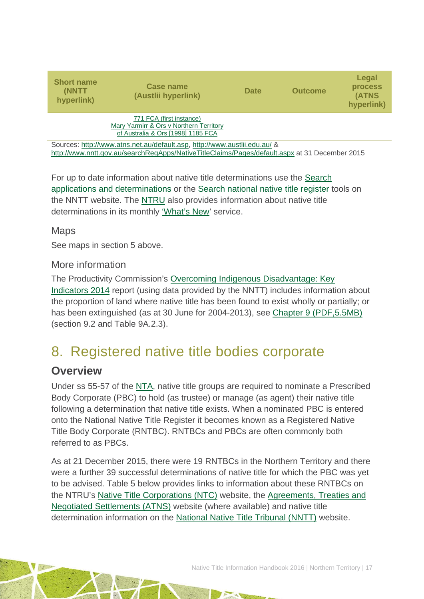| <b>Short name</b><br>(NNTT<br>hyperlink)                                  | Case name<br>(Austlii hyperlink)                                                                          | <b>Date</b> | <b>Outcome</b> | Legal<br><b>process</b><br>(ATNS<br>hyperlink) |  |  |
|---------------------------------------------------------------------------|-----------------------------------------------------------------------------------------------------------|-------------|----------------|------------------------------------------------|--|--|
|                                                                           | 771 FCA (first instance)<br>Mary Yarmirr & Ors v Northern Territory<br>of Australia & Ors [1998] 1185 FCA |             |                |                                                |  |  |
| Sources: http://www.atns.net.au/default.asp. http://www.austlii.edu.au/ & |                                                                                                           |             |                |                                                |  |  |

<http://www.nntt.gov.au/searchRegApps/NativeTitleClaims/Pages/default.aspx> at 31 December 2015

For up to date information about native title determinations use the [Search](http://www.nntt.gov.au/searchRegApps/NativeTitleClaims/Pages/default.aspx)  [applications and determinations](http://www.nntt.gov.au/searchRegApps/NativeTitleClaims/Pages/default.aspx) or the [Search national native title register](http://www.nntt.gov.au/searchRegApps/NativeTitleRegisters/Pages/Search-National-Native-Title-Register.aspx) tools on the NNTT website. The [NTRU](http://aiatsis.gov.au/research/research-themes/native-title) also provides information about native title determinations in its monthly ['What's New'](http://aiatsis.gov.au/research/research-themes/native-title/publications/whats-new) service.

### Maps

See maps in section 5 above.

### More information

The Productivity Commission's [Overcoming Indigenous Disadvantage: Key](http://www.pc.gov.au/research/recurring/overcoming-indigenous-disadvantage/key-indicators-2014)  [Indicators 2014](http://www.pc.gov.au/research/recurring/overcoming-indigenous-disadvantage/key-indicators-2014) report (using data provided by the NNTT) includes information about the proportion of land where native title has been found to exist wholly or partially; or has been extinguished (as at 30 June for 2004-2013), see [Chapter 9 \(PDF,5.5MB\)](http://www.pc.gov.au/research/recurring/overcoming-indigenous-disadvantage/key-indicators-2014/09-key-indicators-2014-chapter9.pdf) (section 9.2 and Table 9A.2.3).

# <span id="page-17-0"></span>8. Registered native title bodies corporate

## **Overview**

Under ss 55-57 of the [NTA,](http://www.austlii.edu.au/au/legis/cth/consol_act/nta1993147/) native title groups are required to nominate a Prescribed Body Corporate (PBC) to hold (as trustee) or manage (as agent) their native title following a determination that native title exists. When a nominated PBC is entered onto the National Native Title Register it becomes known as a Registered Native Title Body Corporate (RNTBC). RNTBCs and PBCs are often commonly both referred to as PBCs.

As at 21 December 2015, there were 19 RNTBCs in the Northern Territory and there were a further 39 successful determinations of native title for which the PBC was yet to be advised. Table 5 below provides links to information about these RNTBCs on the NTRU's [Native Title Corporations \(NTC\)](http://www.nativetitle.org.au/) website, the [Agreements, Treaties and](http://www.atns.net.au/)  [Negotiated Settlements \(ATNS\)](http://www.atns.net.au/) website (where available) and native title determination information on the [National Native Title Tribunal \(NNTT\)](http://www.nntt.gov.au/) website.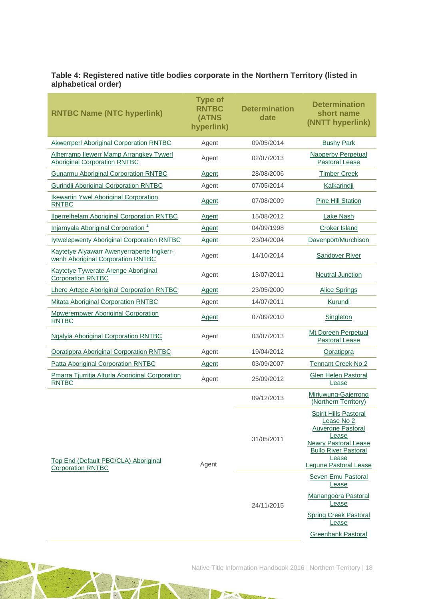#### **Table 4: Registered native title bodies corporate in the Northern Territory (listed in alphabetical order)**

| <b>RNTBC Name (NTC hyperlink)</b>                                                     | <b>Type of</b><br><b>RNTBC</b><br>(ATNS<br>hyperlink) | <b>Determination</b><br>date | <b>Determination</b><br>short name<br>(NNTT hyperlink)                                                                                                                          |
|---------------------------------------------------------------------------------------|-------------------------------------------------------|------------------------------|---------------------------------------------------------------------------------------------------------------------------------------------------------------------------------|
| <b>Akwerrperl Aboriginal Corporation RNTBC</b>                                        | Agent                                                 | 09/05/2014                   | <b>Bushy Park</b>                                                                                                                                                               |
| <b>Alherramp llewerr Mamp Arrangkey Tywerl</b><br><b>Aboriginal Corporation RNTBC</b> | Agent                                                 | 02/07/2013                   | <b>Napperby Perpetual</b><br><b>Pastoral Lease</b>                                                                                                                              |
| <b>Gunarmu Aboriginal Corporation RNTBC</b>                                           | Agent                                                 | 28/08/2006                   | <b>Timber Creek</b>                                                                                                                                                             |
| <b>Gurindji Aboriginal Corporation RNTBC</b>                                          | Agent                                                 | 07/05/2014                   | Kalkarindji                                                                                                                                                                     |
| <b>Ikewartin Ywel Aboriginal Corporation</b><br><b>RNTBC</b>                          | Agent                                                 | 07/08/2009                   | <b>Pine Hill Station</b>                                                                                                                                                        |
| <b>Ilperrelhelam Aboriginal Corporation RNTBC</b>                                     | Agent                                                 | 15/08/2012                   | <b>Lake Nash</b>                                                                                                                                                                |
| Injarnyala Aboriginal Corporation <sup>1</sup>                                        | Agent                                                 | 04/09/1998                   | <b>Croker Island</b>                                                                                                                                                            |
| <b>Iytwelepwenty Aboriginal Corporation RNTBC</b>                                     | Agent                                                 | 23/04/2004                   | Davenport/Murchison                                                                                                                                                             |
| Kaytetye Alyawarr Awenyerraperte Ingkerr-<br>wenh Aboriginal Corporation RNTBC        | Agent                                                 | 14/10/2014                   | <b>Sandover River</b>                                                                                                                                                           |
| <b>Kaytetye Tywerate Arenge Aboriginal</b><br><b>Corporation RNTBC</b>                | Agent                                                 | 13/07/2011                   | <b>Neutral Junction</b>                                                                                                                                                         |
| Lhere Artepe Aboriginal Corporation RNTBC                                             | Agent                                                 | 23/05/2000                   | <b>Alice Springs</b>                                                                                                                                                            |
| <b>Mitata Aboriginal Corporation RNTBC</b>                                            | Agent                                                 | 14/07/2011                   | Kurundi                                                                                                                                                                         |
| <b>Mpwerempwer Aboriginal Corporation</b><br><b>RNTBC</b>                             | Agent                                                 | 07/09/2010                   | Singleton                                                                                                                                                                       |
| <b>Ngalyia Aboriginal Corporation RNTBC</b>                                           | Agent                                                 | 03/07/2013                   | Mt Doreen Perpetual<br>Pastoral Lease                                                                                                                                           |
| <b>Ooratippra Aboriginal Corporation RNTBC</b>                                        | Agent                                                 | 19/04/2012                   | Ooratippra                                                                                                                                                                      |
| Patta Aboriginal Corporation RNTBC                                                    | Agent                                                 | 03/09/2007                   | <b>Tennant Creek No.2</b>                                                                                                                                                       |
| Pmarra Tjurritja Alturla Aboriginal Corporation<br><b>RNTBC</b>                       | Agent                                                 | 25/09/2012                   | <b>Glen Helen Pastoral</b><br>Lease                                                                                                                                             |
|                                                                                       |                                                       | 09/12/2013                   | Miriuwung-Gajerrong<br>(Northern Territory)                                                                                                                                     |
| <u>Top End (Default PBC/CLA) Aboriginal</u><br><b>Corporation RNTBC</b>               | Agent                                                 | 31/05/2011                   | <b>Spirit Hills Pastoral</b><br>Lease No 2<br><b>Auvergne Pastoral</b><br>Lease<br><b>Newry Pastoral Lease</b><br><b>Bullo River Pastoral</b><br>Lease<br>Lequne Pastoral Lease |
|                                                                                       |                                                       | 24/11/2015                   | Seven Emu Pastoral<br>Lease<br>Manangoora Pastoral<br>Lease<br><b>Spring Creek Pastoral</b><br>Lease<br><b>Greenbank Pastoral</b>                                               |

**AND** 

 $\Delta\lambda$ 

 $\overline{\mathbb{R}}$ 

NE SE

JE.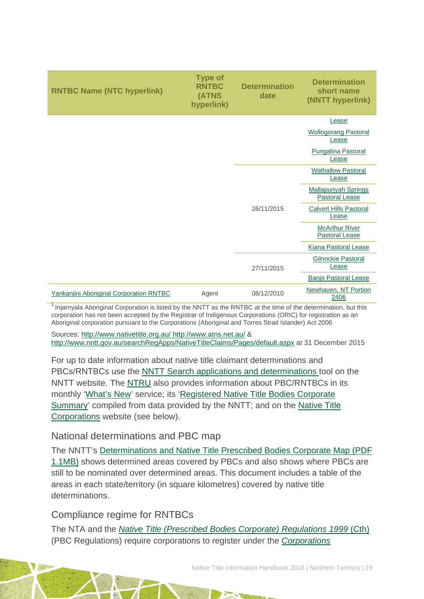| <b>RNTBC Name (NTC hyperlink)</b>       | <b>Type of</b><br><b>RNTBC</b><br>(ATNS<br>hyperlink) | <b>Determination</b><br>date | <b>Determination</b><br>short name<br>(NNTT hyperlink) |
|-----------------------------------------|-------------------------------------------------------|------------------------------|--------------------------------------------------------|
|                                         |                                                       |                              | Lease                                                  |
|                                         |                                                       |                              | <b>Wollogorang Pastoral</b><br>Lease                   |
|                                         |                                                       |                              | Pungalina Pastoral<br>Lease                            |
|                                         |                                                       |                              | <b>Walhallow Pastoral</b><br>Lease                     |
|                                         |                                                       |                              | <b>Mallapunyah Springs</b><br>Pastoral Lease           |
|                                         |                                                       | 26/11/2015                   | <b>Calvert Hills Pastoral</b><br>Lease                 |
|                                         |                                                       |                              | <b>McArthur River</b><br><b>Pastoral Lease</b>         |
|                                         |                                                       |                              | <b>Kiana Pastoral Lease</b>                            |
|                                         |                                                       | 27/11/2015                   | Gilnockie Pastoral<br>Lease                            |
|                                         |                                                       |                              | <b>Banjo Pastoral Lease</b>                            |
| Yankanjini Aboriginal Corporation RNTBC | Agent                                                 | 08/12/2010                   | Newhaven, NT Portion<br>2406                           |

Injarnyala Aboriginal Corporation is listed by the NNTT as the RNTBC at the time of the determination, but this corporation has not been accepted by the Registrar of Indigenous Corporations (ORIC) for registration as an Aboriginal corporation pursuant to the Corporations (Aboriginal and Torres Strait Islander) Act 2006

Sources:<http://www.nativetitle.org.au/> <http://www.atns.net.au/> & http://www.nntt.gov.au/searchRegApps/NativeTitleClaims/Pages/default.aspx at 31 December 2015

For up to date information about native title claimant determinations and PBCs/RNTBCs use the [NNTT Search applications and determinations](http://www.nntt.gov.au/searchRegApps/NativeTitleClaims/Pages/default.aspx) tool on the NNTT website. The [NTRU](http://aiatsis.gov.au/research/research-themes/native-title) also provides information about PBC/RNTBCs in its monthly ['What's New'](http://aiatsis.gov.au/research/research-themes/native-title/publications/whats-new) service; its ['Registered Native Title Bodies Corporate](http://aiatsis.gov.au/publications/products/registered-native-title-bodies-corporate-prescribed-bodies-corporate-summary)  [Summary'](http://aiatsis.gov.au/publications/products/registered-native-title-bodies-corporate-prescribed-bodies-corporate-summary) compiled from data provided by the NNTT; and on the Native Title [Corporations](http://www.nativetitle.org.au/) website (see below).

### National determinations and PBC map

The NNTT's [Determinations and Native Title Prescribed Bodies Corporate Map \(PDF](http://www.nntt.gov.au/Maps/Determinations_and_PBCs_map.pdf)  [1.1MB\)](http://www.nntt.gov.au/Maps/Determinations_and_PBCs_map.pdf) shows determined areas covered by PBCs and also shows where PBCs are still to be nominated over determined areas. This document includes a table of the areas in each state/territory (in square kilometres) covered by native title determinations.

### Compliance regime for RNTBCs

The NTA and the *[Native Title \(Prescribed Bodies Corporate\) Regulations 1999](http://www.austlii.edu.au/au/legis/cth/consol_reg/ntbcr1999495/)* (Cth) (PBC Regulations) require corporations to register under the *[Corporations](http://www5.austlii.edu.au/au/legis/cth/consol_act/catsia2006510/)*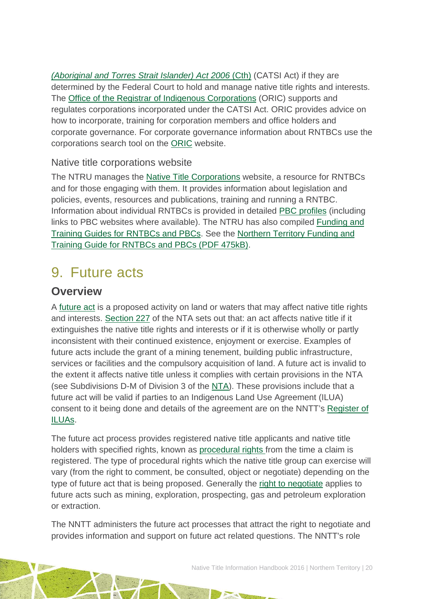*[\(Aboriginal and Torres Strait Islander\) Act 2006](http://www5.austlii.edu.au/au/legis/cth/consol_act/catsia2006510/)* (Cth) (CATSI Act) if they are determined by the Federal Court to hold and manage native title rights and interests. The [Office of the Registrar of Indigenous Corporations](http://www.oric.gov.au/) (ORIC) supports and regulates corporations incorporated under the CATSI Act. ORIC provides advice on how to incorporate, training for corporation members and office holders and corporate governance. For corporate governance information about RNTBCs use the corporations search tool on the [ORIC](http://www.oric.gov.au/) website.

### Native title corporations website

The NTRU manages the [Native Title Corporations](http://www.nativetitle.org.au/) website, a resource for RNTBCs and for those engaging with them. It provides information about legislation and policies, events, resources and publications, training and running a RNTBC. Information about individual RNTBCs is provided in detailed [PBC profiles](http://www.nativetitle.org.au/profiles.html) (including links to PBC websites where available). The NTRU has also compiled [Funding and](http://nativetitle.org.au/toolkits.html)  [Training Guides for RNTBCs and PBCs.](http://nativetitle.org.au/toolkits.html) See the [Northern Territory Funding and](http://nativetitle.org.au/documents/2015_nt_pbc_funding_and_training_guide.pdf)  [Training Guide for RNTBCs and PBCs \(PDF](http://nativetitle.org.au/documents/2015_nt_pbc_funding_and_training_guide.pdf) 475kB).

# <span id="page-20-0"></span>9. Future acts

## **Overview**

A [future act](http://www.nntt.gov.au/Pages/Glossary.aspx) is a proposed activity on land or waters that may affect native title rights and interests. [Section 227](http://www.austlii.edu.au/au/legis/cth/consol_act/nta1993147/s227.html) of the NTA sets out that: an act affects native title if it extinguishes the native title rights and interests or if it is otherwise wholly or partly inconsistent with their continued existence, enjoyment or exercise. Examples of future acts include the grant of a mining tenement, building public infrastructure, services or facilities and the compulsory acquisition of land. A future act is invalid to the extent it affects native title unless it complies with certain provisions in the NTA (see Subdivisions D-M of Division 3 of the [NTA\)](http://www.austlii.edu.au/au/legis/cth/consol_act/nta1993147/). These provisions include that a future act will be valid if parties to an Indigenous Land Use Agreement (ILUA) consent to it being done and details of the agreement are on the NNTT's [Register of](http://www.nntt.gov.au/searchRegApps/NativeTitleRegisters/Pages/Search-Register-of-Indigenous-Land-Use-Agreements.aspx)  [ILUAs.](http://www.nntt.gov.au/searchRegApps/NativeTitleRegisters/Pages/Search-Register-of-Indigenous-Land-Use-Agreements.aspx)

The future act process provides registered native title applicants and native title holders with specified rights, known as [procedural rights f](http://www.nntt.gov.au/Pages/Glossary.aspx)rom the time a claim is registered. The type of procedural rights which the native title group can exercise will vary (from the right to comment, be consulted, object or negotiate) depending on the type of future act that is being proposed. Generally the [right to negotiate](http://www.nntt.gov.au/Pages/Glossary.aspx) applies to future acts such as mining, exploration, prospecting, gas and petroleum exploration or extraction.

The NNTT administers the future act processes that attract the right to negotiate and provides information and support on future act related questions. The NNTT's role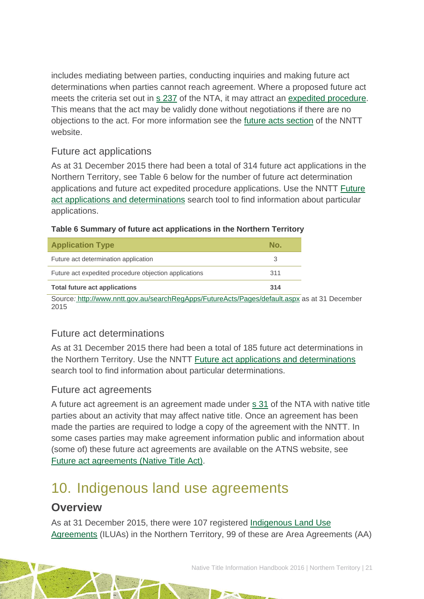includes mediating between parties, conducting inquiries and making future act determinations when parties cannot reach agreement. Where a proposed future act meets the criteria set out in [s 237](http://www.austlii.edu.au/au/legis/cth/consol_act/nta1993147/s237.html) of the NTA, it may attract an [expedited procedure.](http://www.nntt.gov.au/Pages/Glossary.aspx) This means that the act may be validly done without negotiations if there are no objections to the act. For more information see the [future acts section](http://www.nntt.gov.au/futureacts/Pages/default.aspx) of the NNTT website.

### Future act applications

As at 31 December 2015 there had been a total of 314 future act applications in the Northern Territory, see Table 6 below for the number of future act determination applications and future act expedited procedure applications. Use the NNTT [Future](http://www.nntt.gov.au/searchRegApps/FutureActs/Pages/default.aspx)  [act applications and determinations](http://www.nntt.gov.au/searchRegApps/FutureActs/Pages/default.aspx) search tool to find information about particular applications.

| <u>Fable of Summary of Tutule act applications in the Northern Territory</u> |     |
|------------------------------------------------------------------------------|-----|
| <b>Application Type</b>                                                      | No. |
| Future act determination application                                         |     |

Future act expedited procedure objection applications 311

|  | Table 6 Summary of future act applications in the Northern Territory |  |  |
|--|----------------------------------------------------------------------|--|--|
|  |                                                                      |  |  |

**Total future act applications 314** Source*:* [http://www.nntt.gov.au/searchRegApps/FutureActs/Pages/default.aspx](http://www.nntt.gov.au/searchRegApps/FutureActs/Pages/default.aspx%20at%2030%20April%202015) as at 31 December 2015

## Future act determinations

As at 31 December 2015 there had been a total of 185 future act determinations in the Northern Territory. Use the NNTT [Future act applications and determinations](http://www.nntt.gov.au/searchRegApps/FutureActs/Pages/default.aspx) search tool to find information about particular determinations.

### Future act agreements

A future act agreement is an agreement made under s [31](http://www.austlii.edu.au/au/legis/cth/consol_act/nta1993147/s31.html) of the NTA with native title parties about an activity that may affect native title. Once an agreement has been made the parties are required to lodge a copy of the agreement with the NNTT. In some cases parties may make agreement information public and information about (some of) these future act agreements are available on the ATNS website, see [Future act agreements \(Native Title Act\).](http://www.atns.net.au/subcategory.asp?subcategoryID=120)

# <span id="page-21-0"></span>10. Indigenous land use agreements

## **Overview**

As at 31 December 2015, there were 107 registered [Indigenous Land Use](http://www.nntt.gov.au/Pages/Glossary.aspx)  [Agreements](http://www.nntt.gov.au/Pages/Glossary.aspx) (ILUAs) in the Northern Territory, 99 of these are Area Agreements (AA)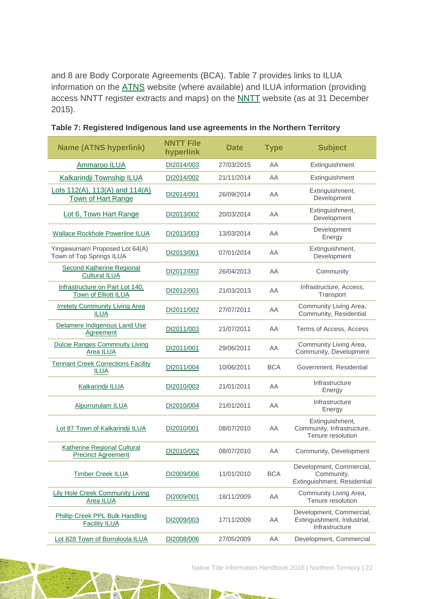and 8 are Body Corporate Agreements (BCA). Table 7 provides links to ILUA information on the [ATNS](http://www.atns.net.au/) website (where available) and ILUA information (providing access NNTT register extracts and maps) on the [NNTT](http://www.nntt.gov.au/) website (as at 31 December 2015).

| <b>Name (ATNS hyperlink)</b>                                    | <b>NNTT File</b><br>hyperlink | <b>Date</b> | <b>Type</b> | <b>Subject</b>                                                            |
|-----------------------------------------------------------------|-------------------------------|-------------|-------------|---------------------------------------------------------------------------|
| Ammaroo ILUA                                                    | DI2014/003                    | 27/03/2015  | AA          | Extinguishment                                                            |
| Kalkarindji Township ILUA                                       | DI2014/002                    | 21/11/2014  | AA          | Extinguishment                                                            |
| Lots 112(A), 113(A) and 114(A)<br>Town of Hart Range            | DI2014/001                    | 26/09/2014  | AA          | Extinguishment,<br>Development                                            |
| Lot 6, Town Hart Range                                          | DI2013/002                    | 20/03/2014  | AA          | Extinguishment,<br>Development                                            |
| <b>Wallace Rockhole Powerline ILUA</b>                          | DI2013/003                    | 13/03/2014  | AA          | Development<br>Energy                                                     |
| Yingawurnarri Proposed Lot 64(A)<br>Town of Top Springs ILUA    | DI2013/001                    | 07/01/2014  | AA          | Extinguishment,<br>Development                                            |
| Second Katherine Regional<br><b>Cultural ILUA</b>               | DI2012/002                    | 26/04/2013  | AA          | Community                                                                 |
| Infrastructure on Part Lot 140,<br>Town of Elliott ILUA         | DI2012/001                    | 21/03/2013  | AA          | Infrastructure, Access,<br>Transport                                      |
| <b>Irretety Community Living Area</b><br><b>ILUA</b>            | DI2011/002                    | 27/07/2011  | AA          | Community Living Area,<br>Community, Residential                          |
| Delamere Indigenous Land Use<br>Agreement                       | DI2011/003                    | 21/07/2011  | AA          | Terms of Access, Access                                                   |
| <b>Dulcie Ranges Commnuity Living</b><br>Area ILUA              | DI2011/001                    | 29/06/2011  | AA          | Community Living Area,<br>Community, Development                          |
| <b>Tennant Creek Corrections Facility</b><br><b>ILUA</b>        | DI2011/004                    | 10/06/2011  | <b>BCA</b>  | Government, Residential                                                   |
| <b>Kalkarindji ILUA</b>                                         | DI2010/003                    | 21/01/2011  | AA          | Infrastructure<br>Energy                                                  |
| Alpurrurulam ILUA                                               | DI2010/004                    | 21/01/2011  | AA          | Infrastructure<br>Energy                                                  |
| Lot 87 Town of Kalkarindji ILUA                                 | DI2010/001                    | 08/07/2010  | AA          | Extinguishment,<br>Community, Infrastructure,<br>Tenure resolution        |
| <b>Katherine Regional Cultural</b><br><b>Precinct Agreement</b> | DI2010/002                    | 08/07/2010  | AA          | Community, Development                                                    |
| <b>Timber Creek ILUA</b>                                        | DI2009/006                    | 11/01/2010  | <b>BCA</b>  | Development, Commercial,<br>Community,<br>Extinguishment, Residential     |
| <b>Lily Hole Creek Community Living</b><br><b>Area ILUA</b>     | DI2009/001                    | 18/11/2009  | AA          | Community Living Area,<br>Tenure resolution                               |
| Phillip Creek PPL Bulk Handling<br><b>Facility ILUA</b>         | DI2009/003                    | 17/11/2009  | AA          | Development, Commercial,<br>Extinguishment, Industrial,<br>Infrastructure |
| Lot 828 Town of Borroloola ILUA                                 | DI2008/006                    | 27/05/2009  | AA          | Development, Commercial                                                   |

|  |  |  |  | Table 7: Registered Indigenous land use agreements in the Northern Territory |  |  |  |  |
|--|--|--|--|------------------------------------------------------------------------------|--|--|--|--|
|--|--|--|--|------------------------------------------------------------------------------|--|--|--|--|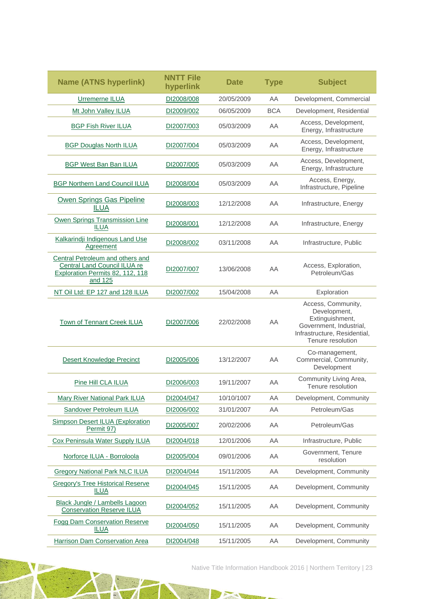| <b>Name (ATNS hyperlink)</b>                                                                                    | <b>NNTT File</b><br>hyperlink | <b>Date</b> | <b>Type</b> | <b>Subject</b>                                                                                                                        |
|-----------------------------------------------------------------------------------------------------------------|-------------------------------|-------------|-------------|---------------------------------------------------------------------------------------------------------------------------------------|
| Urremerne ILUA                                                                                                  | DI2008/008                    | 20/05/2009  | AA          | Development, Commercial                                                                                                               |
| Mt John Valley ILUA                                                                                             | DI2009/002                    | 06/05/2009  | <b>BCA</b>  | Development, Residential                                                                                                              |
| <b>BGP Fish River ILUA</b>                                                                                      | DI2007/003                    | 05/03/2009  | AA          | Access, Development,<br>Energy, Infrastructure                                                                                        |
| <b>BGP Douglas North ILUA</b>                                                                                   | DI2007/004                    | 05/03/2009  | AA          | Access, Development,<br>Energy, Infrastructure                                                                                        |
| <b>BGP West Ban Ban ILUA</b>                                                                                    | DI2007/005                    | 05/03/2009  | AA          | Access, Development,<br>Energy, Infrastructure                                                                                        |
| <b>BGP Northern Land Council ILUA</b>                                                                           | DI2008/004                    | 05/03/2009  | AA          | Access, Energy,<br>Infrastructure, Pipeline                                                                                           |
| Owen Springs Gas Pipeline<br><b>ILUA</b>                                                                        | DI2008/003                    | 12/12/2008  | AA          | Infrastructure, Energy                                                                                                                |
| Owen Springs Transmission Line<br><b>ILUA</b>                                                                   | DI2008/001                    | 12/12/2008  | AA          | Infrastructure, Energy                                                                                                                |
| Kalkarindji Indigenous Land Use<br>Agreement                                                                    | DI2008/002                    | 03/11/2008  | AA          | Infrastructure, Public                                                                                                                |
| Central Petroleum and others and<br>Central Land Council ILUA re<br>Exploration Permits 82, 112, 118<br>and 125 | DI2007/007                    | 13/06/2008  | AA          | Access, Exploration,<br>Petroleum/Gas                                                                                                 |
| NT Oil Ltd: EP 127 and 128 ILUA                                                                                 | DI2007/002                    | 15/04/2008  | AA          | Exploration                                                                                                                           |
| <b>Town of Tennant Creek ILUA</b>                                                                               | DI2007/006                    | 22/02/2008  | AA          | Access, Community,<br>Development,<br>Extinguishment,<br>Government, Industrial,<br>Infrastructure, Residential,<br>Tenure resolution |
| Desert Knowledge Precinct                                                                                       | DI2005/006                    | 13/12/2007  | AA          | Co-management,<br>Commercial, Community,<br>Development                                                                               |
| Pine Hill CLA ILUA                                                                                              | DI2006/003                    | 19/11/2007  | AA          | Community Living Area,<br>Tenure resolution                                                                                           |
| Mary River National Park ILUA                                                                                   | DI2004/047                    | 10/10/1007  | AA          | Development, Community                                                                                                                |
| Sandover Petroleum ILUA                                                                                         | DI2006/002                    | 31/01/2007  | AA          | Petroleum/Gas                                                                                                                         |
| <b>Simpson Desert ILUA (Exploration</b><br>Permit 97)                                                           | DI2005/007                    | 20/02/2006  | AA          | Petroleum/Gas                                                                                                                         |
| Cox Peninsula Water Supply ILUA                                                                                 | DI2004/018                    | 12/01/2006  | AA          | Infrastructure, Public                                                                                                                |
| Norforce ILUA - Borroloola                                                                                      | DI2005/004                    | 09/01/2006  | AA          | Government, Tenure<br>resolution                                                                                                      |
| <b>Gregory National Park NLC ILUA</b>                                                                           | DI2004/044                    | 15/11/2005  | AA          | Development, Community                                                                                                                |
| <b>Gregory's Tree Historical Reserve</b><br><b>ILUA</b>                                                         | DI2004/045                    | 15/11/2005  | AA          | Development, Community                                                                                                                |
| Black Jungle / Lambells Lagoon<br><b>Conservation Reserve ILUA</b>                                              | DI2004/052                    | 15/11/2005  | AA          | Development, Community                                                                                                                |
| <b>Fogg Dam Conservation Reserve</b><br><b>ILUA</b>                                                             | DI2004/050                    | 15/11/2005  | AA          | Development, Community                                                                                                                |
| <b>Harrison Dam Conservation Area</b>                                                                           | DI2004/048                    | 15/11/2005  | AA          | Development, Community                                                                                                                |

A

N

 $\mathcal{A}_{\mathcal{A}}$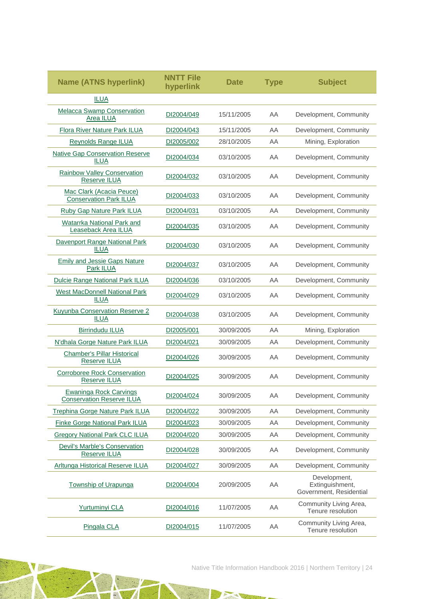| <b>Name (ATNS hyperlink)</b>                               | NNTT File<br>hyperlink | <b>Date</b> | <b>Type</b> | <b>Subject</b>                                             |
|------------------------------------------------------------|------------------------|-------------|-------------|------------------------------------------------------------|
| <b>ILUA</b>                                                |                        |             |             |                                                            |
| <b>Melacca Swamp Conservation</b><br>Area ILUA             | DI2004/049             | 15/11/2005  | AA          | Development, Community                                     |
| <b>Flora River Nature Park ILUA</b>                        | DI2004/043             | 15/11/2005  | AA          | Development, Community                                     |
| <b>Reynolds Range ILUA</b>                                 | DI2005/002             | 28/10/2005  | AA          | Mining, Exploration                                        |
| <b>Native Gap Conservation Reserve</b><br><b>ILUA</b>      | DI2004/034             | 03/10/2005  | AA          | Development, Community                                     |
| <b>Rainbow Valley Conservation</b><br>Reserve ILUA         | DI2004/032             | 03/10/2005  | AA          | Development, Community                                     |
| Mac Clark (Acacia Peuce)<br><b>Conservation Park ILUA</b>  | DI2004/033             | 03/10/2005  | AA          | Development, Community                                     |
| <b>Ruby Gap Nature Park ILUA</b>                           | DI2004/031             | 03/10/2005  | AA          | Development, Community                                     |
| Watarrka National Park and<br>Leaseback Area ILUA          | DI2004/035             | 03/10/2005  | AA          | Development, Community                                     |
| Davenport Range National Park<br><b>ILUA</b>               | DI2004/030             | 03/10/2005  | AA          | Development, Community                                     |
| <b>Emily and Jessie Gaps Nature</b><br>Park ILUA           | DI2004/037             | 03/10/2005  | AA          | Development, Community                                     |
| <b>Dulcie Range National Park ILUA</b>                     | DI2004/036             | 03/10/2005  | AA          | Development, Community                                     |
| <b>West MacDonnell National Park</b><br><b>ILUA</b>        | DI2004/029             | 03/10/2005  | AA          | Development, Community                                     |
| <b>Kuyunba Conservation Reserve 2</b><br><b>ILUA</b>       | DI2004/038             | 03/10/2005  | AA          | Development, Community                                     |
| <b>Birrindudu ILUA</b>                                     | DI2005/001             | 30/09/2005  | AA          | Mining, Exploration                                        |
| N'dhala Gorge Nature Park ILUA                             | DI2004/021             | 30/09/2005  | AA          | Development, Community                                     |
| <b>Chamber's Pillar Historical</b><br><b>Reserve ILUA</b>  | DI2004/026             | 30/09/2005  | AA          | Development, Community                                     |
| <b>Corroboree Rock Conservation</b><br>Reserve ILUA        | DI2004/025             | 30/09/2005  | AA          | Development, Community                                     |
| Ewaninga Rock Carvings<br><b>Conservation Reserve ILUA</b> | DI2004/024             | 30/09/2005  | AA          | Development, Community                                     |
| Trephina Gorge Nature Park ILUA                            | DI2004/022             | 30/09/2005  | AA          | Development, Community                                     |
| <b>Finke Gorge National Park ILUA</b>                      | DI2004/023             | 30/09/2005  | AA          | Development, Community                                     |
| <b>Gregory National Park CLC ILUA</b>                      | DI2004/020             | 30/09/2005  | AA          | Development, Community                                     |
| Devil's Marble's Conservation<br>Reserve ILUA              | DI2004/028             | 30/09/2005  | AA          | Development, Community                                     |
| Arltunga Historical Reserve ILUA                           | DI2004/027             | 30/09/2005  | AA          | Development, Community                                     |
| <b>Township of Urapunga</b>                                | DI2004/004             | 20/09/2005  | AA          | Development,<br>Extinguishment,<br>Government, Residential |
| Yurtuminyi CLA                                             | DI2004/016             | 11/07/2005  | AA          | Community Living Area,<br>Tenure resolution                |
| Pingala CLA                                                | DI2004/015             | 11/07/2005  | AA          | Community Living Area,<br>Tenure resolution                |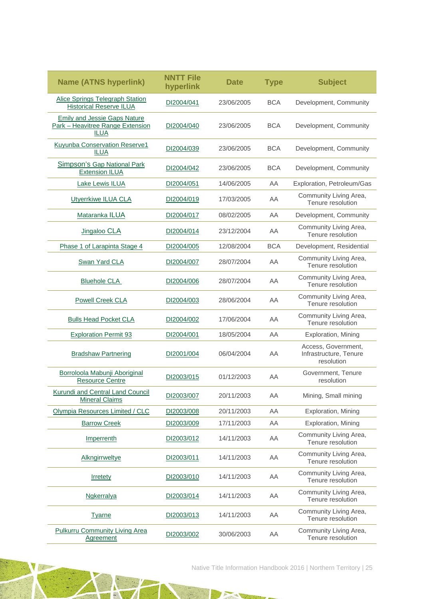| <b>Name (ATNS hyperlink)</b>                                                           | <b>NNTT File</b><br>hyperlink | Date       | <b>Type</b> | <b>Subject</b>                                              |
|----------------------------------------------------------------------------------------|-------------------------------|------------|-------------|-------------------------------------------------------------|
| <b>Alice Springs Telegraph Station</b><br><b>Historical Reserve ILUA</b>               | DI2004/041                    | 23/06/2005 | <b>BCA</b>  | Development, Community                                      |
| <b>Emily and Jessie Gaps Nature</b><br>Park - Heavitree Range Extension<br><b>ILUA</b> | DI2004/040                    | 23/06/2005 | <b>BCA</b>  | Development, Community                                      |
| Kuyunba Conservation Reserve1<br><b>ILUA</b>                                           | DI2004/039                    | 23/06/2005 | <b>BCA</b>  | Development, Community                                      |
| Simpson's Gap National Park<br><b>Extension ILUA</b>                                   | DI2004/042                    | 23/06/2005 | <b>BCA</b>  | Development, Community                                      |
| <b>Lake Lewis ILUA</b>                                                                 | DI2004/051                    | 14/06/2005 | AA          | Exploration, Petroleum/Gas                                  |
| Utyerrkiwe ILUA CLA                                                                    | DI2004/019                    | 17/03/2005 | AA          | Community Living Area,<br>Tenure resolution                 |
| Mataranka ILUA                                                                         | DI2004/017                    | 08/02/2005 | AA          | Development, Community                                      |
| Jingaloo CLA                                                                           | DI2004/014                    | 23/12/2004 | ΑA          | Community Living Area,<br>Tenure resolution                 |
| Phase 1 of Larapinta Stage 4                                                           | DI2004/005                    | 12/08/2004 | <b>BCA</b>  | Development, Residential                                    |
| Swan Yard CLA                                                                          | DI2004/007                    | 28/07/2004 | ΑA          | Community Living Area,<br>Tenure resolution                 |
| <b>Bluehole CLA</b>                                                                    | DI2004/006                    | 28/07/2004 | ΑA          | Community Living Area,<br>Tenure resolution                 |
| <b>Powell Creek CLA</b>                                                                | DI2004/003                    | 28/06/2004 | AA          | Community Living Area,<br>Tenure resolution                 |
| <b>Bulls Head Pocket CLA</b>                                                           | DI2004/002                    | 17/06/2004 | ΑA          | Community Living Area,<br>Tenure resolution                 |
| <b>Exploration Permit 93</b>                                                           | DI2004/001                    | 18/05/2004 | AA          | Exploration, Mining                                         |
| <b>Bradshaw Partnering</b>                                                             | DI2001/004                    | 06/04/2004 | AA          | Access, Government,<br>Infrastructure, Tenure<br>resolution |
| Borroloola Mabunji Aboriginal<br><b>Resource Centre</b>                                | DI2003/015                    | 01/12/2003 | ΑA          | Government, Tenure<br>resolution                            |
| <b>Kurundi and Central Land Council</b><br><b>Mineral Claims</b>                       | DI2003/007                    | 20/11/2003 | AA          | Mining, Small mining                                        |
| Olympia Resources Limited / CLC                                                        | DI2003/008                    | 20/11/2003 | AA          | Exploration, Mining                                         |
| <b>Barrow Creek</b>                                                                    | DI2003/009                    | 17/11/2003 | AA          | Exploration, Mining                                         |
| Imperrenth                                                                             | DI2003/012                    | 14/11/2003 | AA          | Community Living Area,<br>Tenure resolution                 |
| Alkngirrweltye                                                                         | DI2003/011                    | 14/11/2003 | AA          | Community Living Area,<br>Tenure resolution                 |
| <b>Irretety</b>                                                                        | DI2003/010                    | 14/11/2003 | AA          | Community Living Area,<br>Tenure resolution                 |
| <b>Ngkerralya</b>                                                                      | DI2003/014                    | 14/11/2003 | AA          | Community Living Area,<br>Tenure resolution                 |
| <b>Tyarne</b>                                                                          | DI2003/013                    | 14/11/2003 | AA          | Community Living Area,<br>Tenure resolution                 |
| <b>Pulkurru Community Living Area</b><br><b>Agreement</b>                              | DI2003/002                    | 30/06/2003 | AA          | Community Living Area,<br>Tenure resolution                 |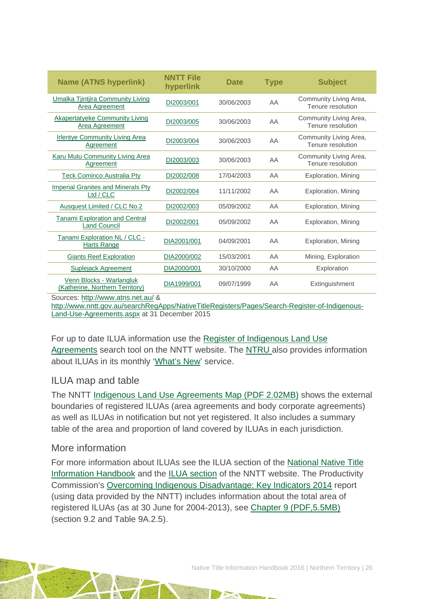| <b>Name (ATNS hyperlink)</b>                                 | <b>NNTT File</b><br>hyperlink | <b>Date</b> | <b>Type</b> | <b>Subject</b>                              |
|--------------------------------------------------------------|-------------------------------|-------------|-------------|---------------------------------------------|
| Umalka Tjintjira Community Living<br>Area Agreement          | DI2003/001                    | 30/06/2003  | AA          | Community Living Area,<br>Tenure resolution |
| <b>Akapertatyeke Community Living</b><br>Area Agreement      | DI2003/005                    | 30/06/2003  | AA          | Community Living Area,<br>Tenure resolution |
| <b>Irlentye Community Living Area</b><br>Agreement           | DI2003/004                    | 30/06/2003  | AA          | Community Living Area,<br>Tenure resolution |
| <b>Karu Mutu Community Living Area</b><br>Agreement          | DI2003/003                    | 30/06/2003  | AA          | Community Living Area,<br>Tenure resolution |
| <b>Teck Cominco Australia Pty</b>                            | DI2002/008                    | 17/04/2003  | AA          | Exploration, Mining                         |
| <b>Imperial Granites and Minerals Pty</b><br>Ltd / CLC       | DI2002/004                    | 11/11/2002  | AA          | Exploration, Mining                         |
| Ausquest Limited / CLC No.2                                  | DI2002/003                    | 05/09/2002  | AA          | Exploration, Mining                         |
| <b>Tanami Exploration and Central</b><br><b>Land Council</b> | DI2002/001                    | 05/09/2002  | AA          | Exploration, Mining                         |
| Tanami Exploration NL / CLC -<br>Harts Range                 | DIA2001/001                   | 04/09/2001  | AA.         | Exploration, Mining                         |
| <b>Giants Reef Exploration</b>                               | DIA2000/002                   | 15/03/2001  | AA          | Mining, Exploration                         |
| <b>Suplejack Agreement</b>                                   | DIA2000/001                   | 30/10/2000  | AA          | Exploration                                 |
| Venn Blocks - Warlangluk<br>(Katherine, Northern Territory)  | DIA1999/001                   | 09/07/1999  | AA          | Extinguishment                              |

Sources: <http://www.atns.net.au/> &

[http://www.nntt.gov.au/searchRegApps/NativeTitleRegisters/Pages/Search-Register-of-Indigenous-](http://www.nntt.gov.au/searchRegApps/NativeTitleRegisters/Pages/Search-Register-of-Indigenous-Land-Use-Agreements.aspx)[Land-Use-Agreements.aspx](http://www.nntt.gov.au/searchRegApps/NativeTitleRegisters/Pages/Search-Register-of-Indigenous-Land-Use-Agreements.aspx) at 31 December 2015

For up to date ILUA information use the [Register of Indigenous Land Use](http://www.nntt.gov.au/searchRegApps/NativeTitleRegisters/Pages/Search-Register-of-Indigenous-Land-Use-Agreements.aspx)  [Agreements](http://www.nntt.gov.au/searchRegApps/NativeTitleRegisters/Pages/Search-Register-of-Indigenous-Land-Use-Agreements.aspx) search tool on the NNTT website. The [NTRU](http://aiatsis.gov.au/research/research-themes/native-title) also provides information about ILUAs in its monthly ['What's New'](http://aiatsis.gov.au/research/research-themes/native-title/publications/whats-new) service.

### ILUA map and table

The NNTT [Indigenous Land Use Agreements Map \(PDF 2.02MB\)](http://www.nntt.gov.au/Maps/ILUAs_map.pdf) shows the external boundaries of registered ILUAs (area agreements and body corporate agreements) as well as ILUAs in notification but not yet registered. It also includes a summary table of the area and proportion of land covered by ILUAs in each jurisdiction.

### More information

For more information about ILUAs see the ILUA section of the [National Native Title](http://aiatsis.gov.au/publications/products/native-title-information-handbooks/)  [Information Handbook](http://aiatsis.gov.au/publications/products/native-title-information-handbooks/) and the [ILUA section](http://www.nntt.gov.au/ILUAs/Pages/default.aspx) of the NNTT website. The Productivity Commission's [Overcoming Indigenous Disadvantage: Key Indicators 2014](http://www.pc.gov.au/research/recurring/overcoming-indigenous-disadvantage/key-indicators-2014) report (using data provided by the NNTT) includes information about the total area of registered ILUAs (as at 30 June for 2004-2013), see [Chapter 9 \(PDF,5.5MB\)](http://www.pc.gov.au/research/recurring/overcoming-indigenous-disadvantage/key-indicators-2014/09-key-indicators-2014-chapter9.pdf) (section 9.2 and Table 9A.2.5).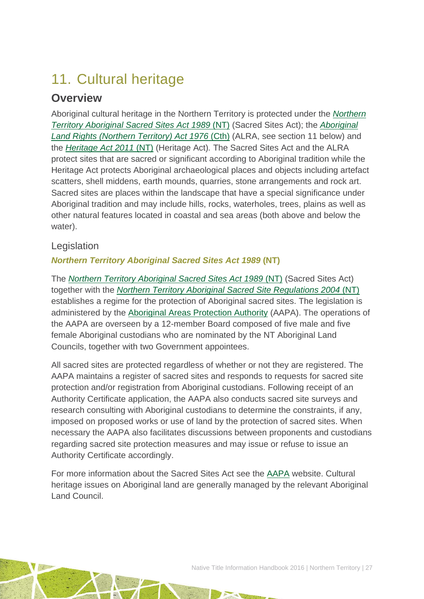# <span id="page-27-0"></span>11. Cultural heritage

## **Overview**

Aboriginal cultural heritage in the Northern Territory is protected under the *[Northern](http://www5.austlii.edu.au/au/legis/nt/consol_act/ntassa453/)  [Territory Aboriginal Sacred Sites Act 1989](http://www5.austlii.edu.au/au/legis/nt/consol_act/ntassa453/)* (NT) (Sacred Sites Act); the *[Aboriginal](http://www.austlii.edu.au/au/legis/cth/consol_act/alrta1976444/)  [Land Rights \(Northern Territory\) Act 1976](http://www.austlii.edu.au/au/legis/cth/consol_act/alrta1976444/)* (Cth) (ALRA, see section 11 below) and the *[Heritage Act 2011](http://www.austlii.edu.au/au/legis/nt/num_act/ha201134o2011132/)* (NT) (Heritage Act)*.* The Sacred Sites Act and the ALRA protect sites that are sacred or significant according to Aboriginal tradition while the Heritage Act protects Aboriginal archaeological places and objects including artefact scatters, shell middens, earth mounds, quarries, stone arrangements and rock art. Sacred sites are places within the landscape that have a special significance under Aboriginal tradition and may include hills, rocks, waterholes, trees, plains as well as other natural features located in coastal and sea areas (both above and below the water).

### Legislation

### *Northern Territory Aboriginal Sacred Sites Act 1989* **(NT)**

The *[Northern Territory Aboriginal Sacred Sites Act 1989](http://www5.austlii.edu.au/au/legis/nt/consol_act/ntassa453/)* (NT) (Sacred Sites Act) together with the *[Northern Territory Aboriginal Sacred Site Regulations 2004](http://www5.austlii.edu.au/au/legis/nt/consol_reg/ntassr562/)* (NT) establishes a regime for the protection of Aboriginal sacred sites. The legislation is administered by the [Aboriginal Areas Protection Authority](http://www.aapant.org.au/) (AAPA). The operations of the AAPA are overseen by a 12-member Board composed of five male and five female Aboriginal custodians who are nominated by the NT Aboriginal Land Councils, together with two Government appointees.

All sacred sites are protected regardless of whether or not they are registered. The AAPA maintains a register of sacred sites and responds to requests for sacred site protection and/or registration from Aboriginal custodians. Following receipt of an Authority Certificate application, the AAPA also conducts sacred site surveys and research consulting with Aboriginal custodians to determine the constraints, if any, imposed on proposed works or use of land by the protection of sacred sites. When necessary the AAPA also facilitates discussions between proponents and custodians regarding sacred site protection measures and may issue or refuse to issue an Authority Certificate accordingly.

For more information about the Sacred Sites Act see the [AAPA](http://www.aapant.org.au/) website. Cultural heritage issues on Aboriginal land are generally managed by the relevant Aboriginal Land Council.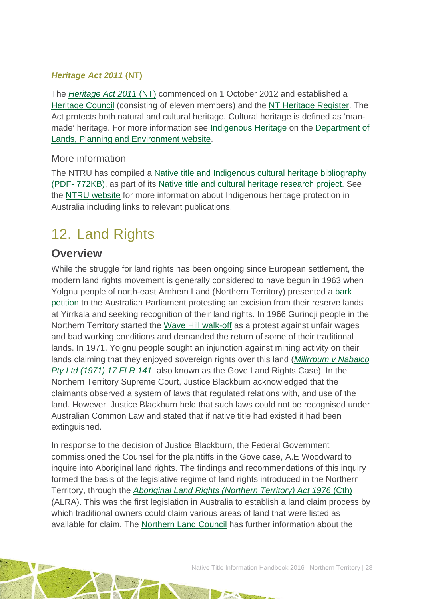### *Heritage Act 2011* **(NT)**

The *[Heritage Act 2011](http://www.austlii.edu.au/au/legis/nt/num_act/ha201134o2011132/)* (NT) commenced on 1 October 2012 and established a [Heritage Council](http://www.dlp.nt.gov.au/heritage/heritage-act/heritage-council) (consisting of eleven members) and the [NT Heritage Register.](http://www.ntlis.nt.gov.au/heritageregister/f?p=103:300:685693368302620) The Act protects both natural and cultural heritage. Cultural heritage is defined as 'manmade' heritage. For more information see [Indigenous Heritage](http://www.dlpe.nt.gov.au/heritage/indigenous-heritage) on the [Department of](http://www.dlp.nt.gov.au/)  [Lands, Planning and Environment website.](http://www.dlp.nt.gov.au/)

### More information

The NTRU has compiled a [Native title and Indigenous cultural heritage bibliography](http://aiatsis.gov.au/publications/products/native-title-and-indigenous-cultural-heritage-management-bibliography)  (PDF- [772KB\),](http://aiatsis.gov.au/publications/products/native-title-and-indigenous-cultural-heritage-management-bibliography) as part of its [Native title and cultural heritage research project.](http://aiatsis.gov.au/research-and-guides/native-title-and-cultural-heritage) See the [NTRU website](http://aiatsis.gov.au/research/research-themes/native-title-and-traditional-ownership/native-title-and-cultural-heritage) for more information about Indigenous heritage protection in Australia including links to relevant publications.

# <span id="page-28-0"></span>12. Land Rights

## **Overview**

While the struggle for land rights has been ongoing since European settlement, the modern land rights movement is generally considered to have begun in 1963 when Yolgnu people of north-east Arnhem Land (Northern Territory) presented a [bark](http://www.atns.net.au/agreement.asp?EntityID=1783)  [petition](http://www.atns.net.au/agreement.asp?EntityID=1783) to the Australian Parliament protesting an excision from their reserve lands at Yirrkala and seeking recognition of their land rights. In 1966 Gurindji people in the Northern Territory started the [Wave Hill walk-off](http://www.atns.net.au/agreement.asp?EntityID=1074) as a protest against unfair wages and bad working conditions and demanded the return of some of their traditional lands. In 1971, Yolgnu people sought an injunction against mining activity on their lands claiming that they enjoyed sovereign rights over this land (*[Milirrpum v Nabalco](http://www.atns.net.au/agreement.asp?EntityID=1611)  [Pty Ltd \(1971\) 17 FLR 141](http://www.atns.net.au/agreement.asp?EntityID=1611)*, also known as the Gove Land Rights Case). In the Northern Territory Supreme Court, Justice Blackburn acknowledged that the claimants observed a system of laws that regulated relations with, and use of the land. However, Justice Blackburn held that such laws could not be recognised under Australian Common Law and stated that if native title had existed it had been extinguished.

In response to the decision of Justice Blackburn, the Federal Government commissioned the Counsel for the plaintiffs in the Gove case, A.E Woodward to inquire into Aboriginal land rights. The findings and recommendations of this inquiry formed the basis of the legislative regime of land rights introduced in the Northern Territory, through the *[Aboriginal Land Rights \(Northern Territory\) Act 1976](http://www.austlii.edu.au/au/legis/cth/consol_act/alrta1976444/)* (Cth) (ALRA). This was the first legislation in Australia to establish a land claim process by which traditional owners could claim various areas of land that were listed as available for claim. The [Northern Land Council](http://www.nlc.org.au/) has further information about the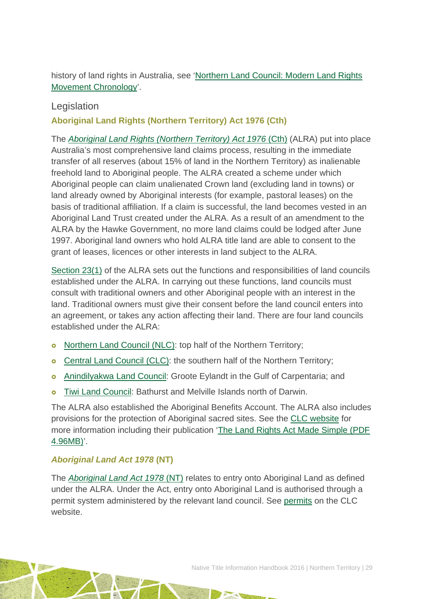history of land rights in Australia, see 'Northern Land [Council: Modern Land Rights](http://www.nlc.org.au/articles/info/history-of-the-nlc/)  [Movement Chronology'](http://www.nlc.org.au/articles/info/history-of-the-nlc/).

### Legislation

### **Aboriginal Land Rights (Northern Territory) Act 1976 (Cth)**

The *[Aboriginal Land Rights \(Northern Territory\) Act 1976](http://www.austlii.edu.au/au/legis/cth/consol_act/alrta1976444/)* (Cth) (ALRA) put into place Australia's most comprehensive land claims process, resulting in the immediate transfer of all reserves (about 15% of land in the Northern Territory) as inalienable freehold land to Aboriginal people. The ALRA created a scheme under which Aboriginal people can claim unalienated Crown land (excluding land in towns) or land already owned by Aboriginal interests (for example, pastoral leases) on the basis of traditional affiliation. If a claim is successful, the land becomes vested in an Aboriginal Land Trust created under the ALRA. As a result of an amendment to the ALRA by the Hawke Government, no more land claims could be lodged after June 1997. Aboriginal land owners who hold ALRA title land are able to consent to the grant of leases, licences or other interests in land subject to the ALRA.

[Section 23\(1\)](http://www.austlii.edu.au/au/legis/cth/consol_act/alrta1976444/s23.html) of the ALRA sets out the functions and responsibilities of land councils established under the ALRA. In carrying out these functions, land councils must consult with traditional owners and other Aboriginal people with an interest in the land. Traditional owners must give their consent before the land council enters into an agreement, or takes any action affecting their land. There are four land councils established under the ALRA:

- **o** [Northern Land Council](http://www.nlc.org.au/) (NLC): top half of the Northern Territory;
- **o** [Central Land Council](http://www.clc.org.au/) (CLC): the southern half of the Northern Territory;
- **o** [Anindilyakwa Land Council:](http://www.anindilyakwa.com.au/) Groote Eylandt in the Gulf of Carpentaria; and
- **o** [Tiwi Land Council:](http://www.tiwilandcouncil.net.au/) Bathurst and Melville Islands north of Darwin.

The ALRA also established the Aboriginal Benefits Account. The ALRA also includes provisions for the protection of Aboriginal sacred sites. See the [CLC website](http://www.clc.org.au/articles/info/the-aboriginal-land-rights-act/) for more information including their publication ['The Land Rights Act Made Simple \(PDF](http://www.clc.org.au/publications/content/the-land-rights-act-made-simple)  [4.96MB\)'](http://www.clc.org.au/publications/content/the-land-rights-act-made-simple).

### *Aboriginal Land Act 1978* **(NT)**

The *[Aboriginal Land Act 1978](http://www.austlii.edu.au/au/legis/nt/consol_act/ala126/)* (NT) relates to entry onto Aboriginal Land as defined under the ALRA. Under the Act, entry onto Aboriginal Land is authorised through a permit system administered by the relevant land council. See [permits](http://www.clc.org.au/frequently-asked-questions/cat/permits) on the CLC website.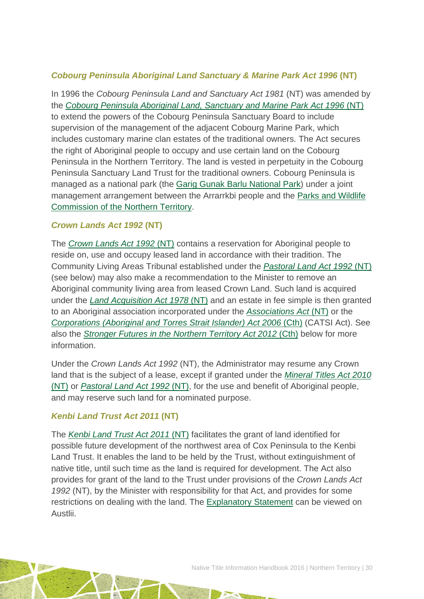### *Cobourg Peninsula Aboriginal Land Sanctuary & Marine Park Act 1996* **(NT)**

In 1996 the *Cobourg Peninsula Land and Sanctuary Act 1981* (NT) was amended by the *[Cobourg Peninsula Aboriginal Land, Sanctuary and Marine Park Act 1996](http://www.austlii.edu.au/au/legis/nt/consol_act/cpalsampa527/)* (NT) to extend the powers of the Cobourg Peninsula Sanctuary Board to include supervision of the management of the adjacent Cobourg Marine Park, which includes customary marine clan estates of the traditional owners. The Act secures the right of Aboriginal people to occupy and use certain land on the Cobourg Peninsula in the Northern Territory. The land is vested in perpetuity in the Cobourg Peninsula Sanctuary Land Trust for the traditional owners. Cobourg Peninsula is managed as a national park (the [Garig Gunak Barlu National Park\)](http://www.parksandwildlife.nt.gov.au/parks/find/gariggunak#.VPO_BE8cTVI) under a joint management arrangement between the Arrarrkbi people and the [Parks and Wildlife](http://www.parksandwildlife.nt.gov.au/)  [Commission of the Northern Territory.](http://www.parksandwildlife.nt.gov.au/)

### *Crown Lands Act 1992* **(NT)**

The *[Crown Lands Act 1992](http://www.austlii.edu.au/au/legis/nt/consol_act/cla134/)* (NT) contains a reservation for Aboriginal people to reside on, use and occupy leased land in accordance with their tradition. The Community Living Areas Tribunal established under the *[Pastoral Land Act 1992](http://www.austlii.edu.au/au/legis/nt/consol_act/pla142/)* (NT) (see below) may also make a recommendation to the Minister to remove an Aboriginal community living area from leased Crown Land. Such land is acquired under the *[Land Acquisition Act 1978](http://www.austlii.edu.au/au/legis/nt/consol_act/laa192/)* (NT) and an estate in fee simple is then granted to an Aboriginal association incorporated under the *[Associations Act](http://www.austlii.edu.au/au/legis/nt/consol_act/aa153)* (NT) or the *[Corporations \(Aboriginal and Torres Strait Islander\) Act 2006](http://www5.austlii.edu.au/au/legis/cth/consol_act/catsia2006510/)* (Cth) (CATSI Act). See also the *[Stronger Futures in the Northern Territory Act 2012](http://www5.austlii.edu.au/au/legis/cth/consol_act/sfitnta2012526/)* (Cth) below for more information.

Under the *Crown Lands Act 1992* (NT), the Administrator may resume any Crown land that is the subject of a lease, except if granted under the *[Mineral Titles Act 2010](http://www.austlii.edu.au/au/legis/nt/num_act/mta201027o2010211/)* [\(NT\)](http://www.austlii.edu.au/au/legis/nt/num_act/mta201027o2010211/) or *[Pastoral Land Act 1992](http://www.austlii.edu.au/au/legis/nt/consol_act/pla142/)* (NT), for the use and benefit of Aboriginal people, and may reserve such land for a nominated purpose.

### *Kenbi Land Trust Act 2011* **(NT)**

The *Kenbi [Land Trust Act 2011](http://www.austlii.edu.au/au/legis/nt/num_act/klta201142o2011223/)* (NT) facilitates the grant of land identified for possible future development of the northwest area of Cox Peninsula to the Kenbi Land Trust. It enables the land to be held by the Trust, without extinguishment of native title, until such time as the land is required for development. The Act also provides for grant of the land to the Trust under provisions of the *Crown Lands Act 1992* (NT), by the Minister with responsibility for that Act, and provides for some restrictions on dealing with the land. The [Explanatory Statement](http://www.austlii.edu.au/au/legis/nt/bill_es/kltb2011187/es.html) can be viewed on Austlii.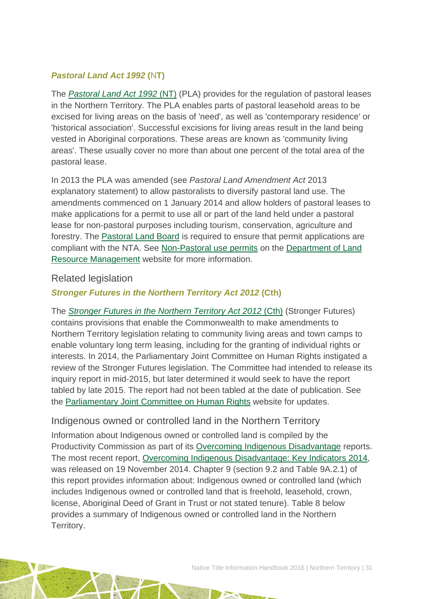### *Pastoral Land Act 1992* **(**N**T)**

The *[Pastoral Land Act 1992](http://www.austlii.edu.au/au/legis/nt/consol_act/pla142/)* (NT) (PLA) provides for the regulation of pastoral leases in the Northern Territory. The PLA enables parts of pastoral leasehold areas to be excised for living areas on the basis of 'need', as well as 'contemporary residence' or 'historical association'. Successful excisions for living areas result in the land being vested in Aboriginal corporations. These areas are known as 'community living areas'. These usually cover no more than about one percent of the total area of the pastoral lease.

In 2013 the PLA was amended (see *Pastoral Land Amendment Act* 2013 explanatory statement) to allow pastoralists to diversify pastoral land use. The amendments commenced on 1 January 2014 and allow holders of pastoral leases to make applications for a permit to use all or part of the land held under a pastoral lease for non-pastoral purposes including tourism, conservation, agriculture and forestry. The [Pastoral Land Board](http://www.lrm.nt.gov.au/rangeland/nt-pastoral-land-board) is required to ensure that permit applications are compliant with the NTA. See [Non-Pastoral use permits](http://www.lrm.nt.gov.au/rangeland/non-pastoral-use-permits) on the [Department of Land](http://www.lrm.nt.gov.au/)  [Resource Management](http://www.lrm.nt.gov.au/) website for more information.

### Related legislation

### *Stronger Futures in the Northern Territory Act 2012* **(Cth)**

The *[Stronger Futures in the Northern Territory Act 2012](http://www5.austlii.edu.au/au/legis/cth/consol_act/sfitnta2012526/)* (Cth) (Stronger Futures) contains provisions that enable the Commonwealth to make amendments to Northern Territory legislation relating to community living areas and town camps to enable voluntary long term leasing, including for the granting of individual rights or interests. In 2014, the Parliamentary Joint Committee on Human Rights instigated a review of the Stronger Futures legislation. The Committee had intended to release its inquiry report in mid-2015, but later determined it would seek to have the report tabled by late 2015. The report had not been tabled at the date of publication. See the [Parliamentary Joint Committee on Human Rights](http://www.aph.gov.au/Parliamentary_Business/Committees/Joint/Human_Rights/Committee_Inquiries/strongerfutures2) website for updates.

### Indigenous owned or controlled land in the Northern Territory

Information about Indigenous owned or controlled land is compiled by the Productivity Commission as part of its [Overcoming Indigenous Disadvantage](http://www.pc.gov.au/research/recurring/overcoming-indigenous-disadvantage) reports. The most recent report, [Overcoming Indigenous Disadvantage: Key Indicators 2014,](http://www.pc.gov.au/research/recurring/overcoming-indigenous-disadvantage/key-indicators-2014) was released on 19 November 2014. Chapter 9 (section 9.2 and Table 9A.2.1) of this report provides information about: Indigenous owned or controlled land (which includes Indigenous owned or controlled land that is freehold, leasehold, crown, license, Aboriginal Deed of Grant in Trust or not stated tenure). Table 8 below provides a summary of Indigenous owned or controlled land in the Northern Territory.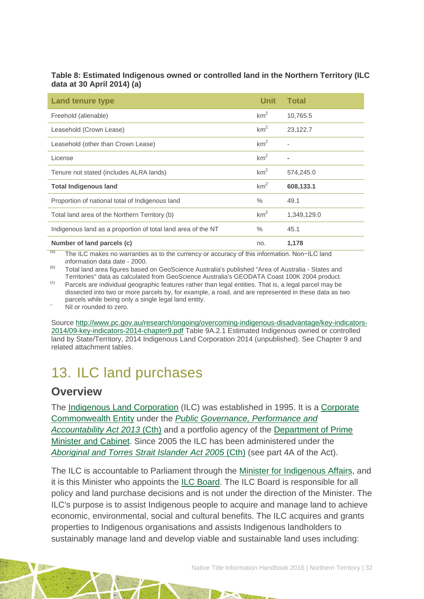#### **Table 8: Estimated Indigenous owned or controlled land in the Northern Territory (ILC data at 30 April 2014) (a)**

| <b>Land tenure type</b>                                      | <b>Unit</b>     | <b>Total</b> |
|--------------------------------------------------------------|-----------------|--------------|
| Freehold (alienable)                                         | km <sup>2</sup> | 10,765.5     |
| Leasehold (Crown Lease)                                      | km <sup>2</sup> | 23,122.7     |
| Leasehold (other than Crown Lease)                           | km <sup>2</sup> |              |
| License                                                      | km <sup>2</sup> |              |
| Tenure not stated (includes ALRA lands)                      | km <sup>2</sup> | 574,245.0    |
| <b>Total Indigenous land</b>                                 | km <sup>2</sup> | 608,133.1    |
| Proportion of national total of Indigenous land              | $\%$            | 49.1         |
| Total land area of the Northern Territory (b)                | km <sup>2</sup> | 1,349,129.0  |
| Indigenous land as a proportion of total land area of the NT | $\%$            | 45.1         |
| Number of land parcels (c)                                   | no.             | 1,178        |

(a) The ILC makes no warranties as to the currency or accuracy of this information. Non-ILC land information data date - 2000.

(b) Total land area figures based on GeoScience Australia's published "Area of Australia - States and Territories" data as calculated from GeoScience Australia's GEODATA Coast 100K 2004 product.

 $\degree$  Parcels are individual geographic features rather than legal entities. That is, a legal parcel may be dissected into two or more parcels by, for example, a road, and are represented in these data as two parcels while being only a single legal land entity.<br>Nil or rounded to zero.

Source [http://www.pc.gov.au/research/ongoing/overcoming-indigenous-disadvantage/key-indicators-](http://www.pc.gov.au/research/ongoing/overcoming-indigenous-disadvantage/key-indicators-2014/09-key-indicators-2014-chapter9.pdf)[2014/09-key-indicators-2014-chapter9.pdf](http://www.pc.gov.au/research/ongoing/overcoming-indigenous-disadvantage/key-indicators-2014/09-key-indicators-2014-chapter9.pdf) Table 9A.2.1 Estimated Indigenous owned or controlled land by State/Territory, 2014 Indigenous Land Corporation 2014 (unpublished). See Chapter 9 and related attachment tables.

# <span id="page-32-0"></span>13. ILC land purchases

## **Overview**

The [Indigenous Land Corporation](http://www.ilc.gov.au/Home) (ILC) was established in 1995. It is a [Corporate](http://www.finance.gov.au/resource-management/introduction/glossary/#c)  [Commonwealth Entity](http://www.finance.gov.au/resource-management/introduction/glossary/#c) under the *[Public Governance, Performance and](http://www.austlii.edu.au/au/legis/cth/consol_act/pgpaaa2013432/)  [Accountability Act 2013](http://www.austlii.edu.au/au/legis/cth/consol_act/pgpaaa2013432/)* (Cth) and a portfolio agency of the [Department of Prime](https://www.dpmc.gov.au/)  [Minister and Cabinet.](https://www.dpmc.gov.au/) Since 2005 the ILC has been administered under the [Aboriginal and Torres Strait Islander Act 2005](http://www.austlii.edu.au/au/legis/cth/consol_act/aatsia2005359/) (Cth) (see part 4A of the Act).

The ILC is accountable to Parliament through the [Minister for Indigenous Affairs,](http://minister.indigenous.gov.au/) and it is this Minister who appoints the [ILC Board.](http://www.ilc.gov.au/Home/About-Us/ILC-Board) The ILC Board is responsible for all policy and land purchase decisions and is not under the direction of the Minister. The ILC's purpose is to assist Indigenous people to acquire and manage land to achieve economic, environmental, social and cultural benefits. The ILC acquires and grants properties to Indigenous organisations and assists Indigenous landholders to sustainably manage land and develop viable and sustainable land uses including: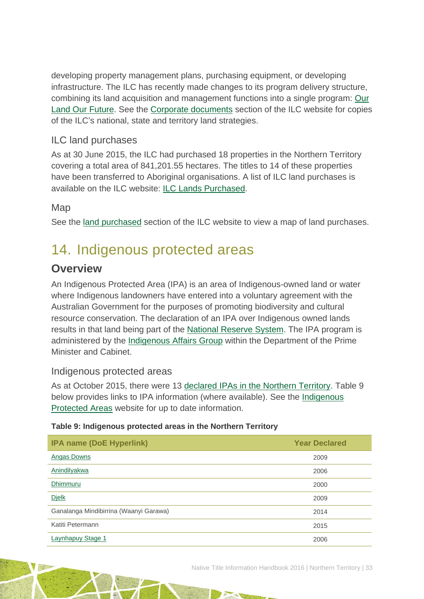developing property management plans, purchasing equipment, or developing infrastructure. The ILC has recently made changes to its program delivery structure, combining its land acquisition and management functions into a single program: [Our](http://www.ilc.gov.au/Home/Our-Land-Program)  [Land Our Future.](http://www.ilc.gov.au/Home/Our-Land-Program) See the [Corporate documents](http://www.ilc.gov.au/Home/Publications/Corporate-Documents) section of the ILC website for copies of the ILC's national, state and territory land strategies.

## ILC land purchases

As at 30 June 2015, the ILC had purchased 18 properties in the Northern Territory covering a total area of 841,201.55 hectares. The titles to 14 of these properties have been transferred to Aboriginal organisations. A list of ILC land purchases is available on the ILC website: [ILC Lands Purchased.](http://www.ilc.gov.au/Home/Land-Purchased/Land-Purchased-All-States)

### Map

See the [land purchased](http://www.ilc.gov.au/Home/Land-Purchased) section of the ILC website to view a map of land purchases.

# <span id="page-33-0"></span>14. Indigenous protected areas

## **Overview**

An Indigenous Protected Area (IPA) is an area of Indigenous-owned land or water where Indigenous landowners have entered into a voluntary agreement with the Australian Government for the purposes of promoting biodiversity and cultural resource conservation. The declaration of an IPA over Indigenous owned lands results in that land being part of the [National Reserve System.](http://www.environment.gov.au/land/nrs) The IPA program is administered by the [Indigenous Affairs Group](https://www.dpmc.gov.au/indigenous-affairs) within the Department of the Prime Minister and Cabinet.

### Indigenous protected areas

As at October 2015, there were 13 [declared IPAs in the Northern Territory.](http://www.environment.gov.au/indigenous/ipa/declared/nt.html) Table 9 below provides links to IPA information (where available). See the [Indigenous](http://www.environment.gov.au/indigenous/ipa/)  [Protected Areas](http://www.environment.gov.au/indigenous/ipa/) website for up to date information.

### **Table 9: Indigenous protected areas in the Northern Territory**

| <b>IPA name (DoE Hyperlink)</b>        | <b>Year Declared</b> |  |  |
|----------------------------------------|----------------------|--|--|
| <b>Angas Downs</b>                     | 2009                 |  |  |
| <b>Anindilyakwa</b>                    | 2006                 |  |  |
| Dhimmuru                               | 2000                 |  |  |
| <b>Dielk</b>                           | 2009                 |  |  |
| Ganalanga Mindibirrina (Waanyi Garawa) | 2014                 |  |  |
| Katiti Petermann                       | 2015                 |  |  |
| Laynhapuy Stage 1                      | 2006                 |  |  |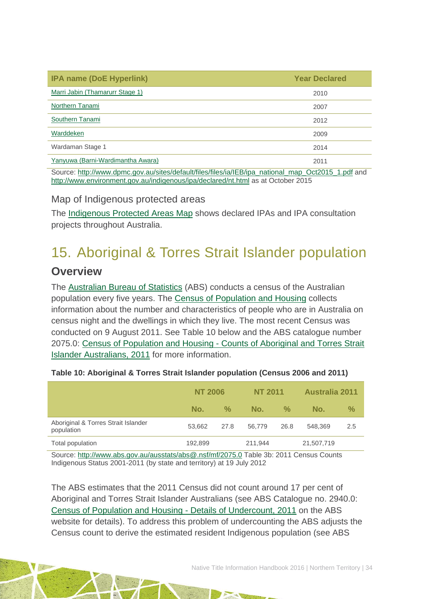| <b>IPA name (DoE Hyperlink)</b>                                                                    | <b>Year Declared</b> |
|----------------------------------------------------------------------------------------------------|----------------------|
| Marri Jabin (Thamarurr Stage 1)                                                                    | 2010                 |
| Northern Tanami                                                                                    | 2007                 |
| Southern Tanami                                                                                    | 2012                 |
| Warddeken                                                                                          | 2009                 |
| Wardaman Stage 1                                                                                   | 2014                 |
| Yanyuwa (Barni-Wardimantha Awara)                                                                  | 2011                 |
| Source: http://www.dpmc.gov.au/sites/default/files/files/ia/IEB/ipa_national_map_Oct2015_1.pdf and |                      |

<http://www.environment.gov.au/indigenous/ipa/declared/nt.html> as at October 2015

### Map of Indigenous protected areas

The [Indigenous Protected Areas Map](https://www.dpmc.gov.au/indigenous-affairs/about/jobs-land-and-economy-programme/indigenous-environment-branch/project-locations) shows declared IPAs and IPA consultation projects throughout Australia.

# <span id="page-34-0"></span>15. Aboriginal & Torres Strait Islander population

## **Overview**

The [Australian Bureau of Statistics](http://www.abs.gov.au/) (ABS) conducts a census of the Australian population every five years. The [Census of Population and Housing](http://www.abs.gov.au/websitedbs/censushome.nsf/home/what?opendocument&navpos=110) collects information about the number and characteristics of people who are in Australia on census night and the dwellings in which they live. The most recent Census was conducted on 9 August 2011. See Table 10 below and the ABS catalogue number 2075.0: Census of Population and Housing - [Counts of Aboriginal and Torres Strait](http://www.abs.gov.au/ausstats/abs@.nsf/Lookup/2075.0main+features32011)  [Islander Australians, 2011](http://www.abs.gov.au/ausstats/abs@.nsf/Lookup/2075.0main+features32011) for more information.

|                                                   | <b>NT 2006</b> |      | <b>NT 2011</b> |               | <b>Australia 2011</b> |               |
|---------------------------------------------------|----------------|------|----------------|---------------|-----------------------|---------------|
|                                                   | No.            | $\%$ | No.            | $\frac{0}{2}$ | No.                   | $\frac{0}{0}$ |
| Aboriginal & Torres Strait Islander<br>population | 53.662         | 27.8 | 56.779         | 26.8          | 548,369               | 2.5           |
| Total population                                  | 192,899        |      | 211.944        |               | 21,507,719            |               |

### **Table 10: Aboriginal & Torres Strait Islander population (Census 2006 and 2011)**

Source:<http://www.abs.gov.au/ausstats/abs@.nsf/mf/2075.0> Table 3b: 2011 Census Counts Indigenous Status 2001-2011 (by state and territory) at 19 July 2012

The ABS estimates that the 2011 Census did not count around 17 per cent of Aboriginal and Torres Strait Islander Australians (see ABS Catalogue no. 2940.0: [Census of Population and Housing -](http://www.abs.gov.au/ausstats/abs@.nsf/%20mf/2940.0) Details of Undercount, 2011 on the ABS website for details). To address this problem of undercounting the ABS adjusts the Census count to derive the estimated resident Indigenous population (see ABS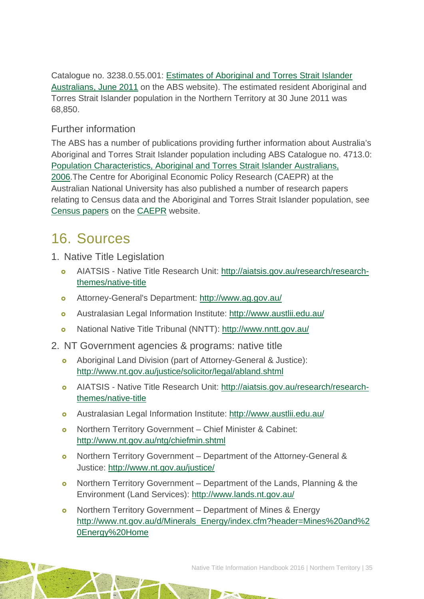Catalogue no. 3238.0.55.001: [Estimates of Aboriginal and Torres Strait Islander](http://www.abs.gov.au/AUSSTATS/abs@.nsf/Lookup/3238.0.55.001Main+Features1June%202011?OpenDocument)  [Australians, June 2011](http://www.abs.gov.au/AUSSTATS/abs@.nsf/Lookup/3238.0.55.001Main+Features1June%202011?OpenDocument) on the ABS website). The estimated resident Aboriginal and Torres Strait Islander population in the Northern Territory at 30 June 2011 was 68,850.

### Further information

The ABS has a number of publications providing further information about Australia's Aboriginal and Torres Strait Islander population including ABS Catalogue no. 4713.0: [Population Characteristics, Aboriginal and Torres Strait Islander Australians,](http://www.abs.gov.au/AUSSTATS/abs@.nsf/Lookup/4713.0Main+Features12006?OpenDocument)  [2006.](http://www.abs.gov.au/AUSSTATS/abs@.nsf/Lookup/4713.0Main+Features12006?OpenDocument)The Centre for Aboriginal Economic Policy Research (CAEPR) at the Australian National University has also published a number of research papers relating to Census data and the Aboriginal and Torres Strait Islander population, see [Census papers](http://caepr.anu.edu.au/publications/censuspapers.php) on the [CAEPR](http://caepr.anu.edu.au/) website.

# <span id="page-35-0"></span>16. Sources

- 1. Native Title Legislation
	- AIATSIS Native Title Research Unit: [http://aiatsis.gov.au/research/research](http://aiatsis.gov.au/research/research-themes/native-title)[themes/native-title](http://aiatsis.gov.au/research/research-themes/native-title)
	- Attorney-General's Department:<http://www.ag.gov.au/>
	- Australasian Legal Information Institute:<http://www.austlii.edu.au/>
	- National Native Title Tribunal (NNTT):<http://www.nntt.gov.au/>
- 2. NT Government agencies & programs: native title
	- Aboriginal Land Division (part of Attorney-General & Justice): <http://www.nt.gov.au/justice/solicitor/legal/abland.shtml>
	- AIATSIS Native Title Research Unit: [http://aiatsis.gov.au/research/research](http://aiatsis.gov.au/research/research-themes/native-title)[themes/native-title](http://aiatsis.gov.au/research/research-themes/native-title)
	- Australasian Legal Information Institute:<http://www.austlii.edu.au/>
	- Northern Territory Government Chief Minister & Cabinet: <http://www.nt.gov.au/ntg/chiefmin.shtml>
	- Northern Territory Government Department of the Attorney-General & Justice:<http://www.nt.gov.au/justice/>
	- o Northern Territory Government Department of the Lands, Planning & the Environment (Land Services):<http://www.lands.nt.gov.au/>
	- o Northern Territory Government Department of Mines & Energy [http://www.nt.gov.au/d/Minerals\\_Energy/index.cfm?header=Mines%20and%2](http://www.nt.gov.au/d/Minerals_Energy/index.cfm?header=Mines%20and%20Energy%20Home) [0Energy%20Home](http://www.nt.gov.au/d/Minerals_Energy/index.cfm?header=Mines%20and%20Energy%20Home)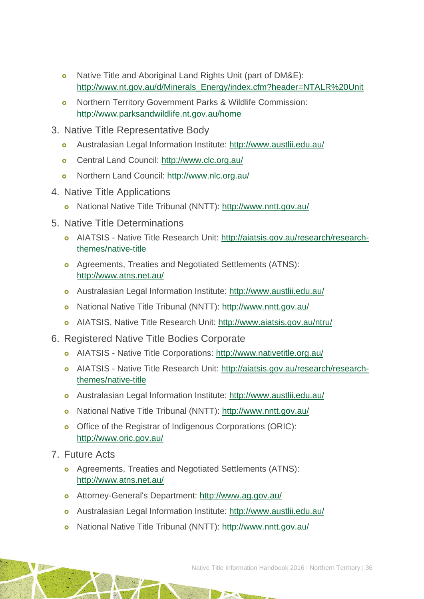- o Native Title and Aboriginal Land Rights Unit (part of DM&E): [http://www.nt.gov.au/d/Minerals\\_Energy/index.cfm?header=NTALR%20Unit](http://www.nt.gov.au/d/Minerals_Energy/index.cfm?header=NTALR%20Unit)
- Northern Territory Government Parks & Wildlife Commission: <http://www.parksandwildlife.nt.gov.au/home>
- 3. Native Title Representative Body
	- Australasian Legal Information Institute:<http://www.austlii.edu.au/>
	- Central Land Council:<http://www.clc.org.au/>
	- Northern Land Council:<http://www.nlc.org.au/>
- 4. Native Title Applications
	- National Native Title Tribunal (NNTT):<http://www.nntt.gov.au/>
- 5. Native Title Determinations
	- AIATSIS Native Title Research Unit: [http://aiatsis.gov.au/research/research](http://aiatsis.gov.au/research/research-themes/native-title)[themes/native-title](http://aiatsis.gov.au/research/research-themes/native-title)
	- Agreements, Treaties and Negotiated Settlements (ATNS): <http://www.atns.net.au/>
	- Australasian Legal Information Institute:<http://www.austlii.edu.au/>
	- National Native Title Tribunal (NNTT):<http://www.nntt.gov.au/>
	- AIATSIS, Native Title Research Unit:<http://www.aiatsis.gov.au/ntru/>
- 6. Registered Native Title Bodies Corporate
	- AIATSIS Native Title Corporations:<http://www.nativetitle.org.au/>
	- AIATSIS Native Title Research Unit: [http://aiatsis.gov.au/research/research](http://aiatsis.gov.au/research/research-themes/native-title)[themes/native-title](http://aiatsis.gov.au/research/research-themes/native-title)
	- Australasian Legal Information Institute:<http://www.austlii.edu.au/>
	- National Native Title Tribunal (NNTT):<http://www.nntt.gov.au/>
	- o Office of the Registrar of Indigenous Corporations (ORIC): <http://www.oric.gov.au/>
- 7. Future Acts
	- Agreements, Treaties and Negotiated Settlements (ATNS): <http://www.atns.net.au/>
	- Attorney-General's Department:<http://www.ag.gov.au/>
	- Australasian Legal Information Institute:<http://www.austlii.edu.au/>
	- National Native Title Tribunal (NNTT):<http://www.nntt.gov.au/>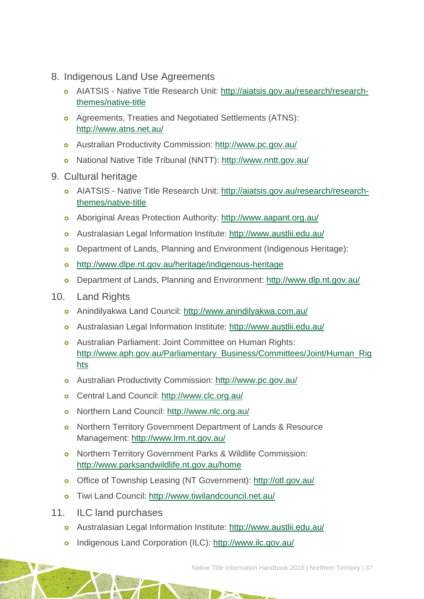- 8. Indigenous Land Use Agreements
	- AIATSIS Native Title Research Unit: [http://aiatsis.gov.au/research/research](http://aiatsis.gov.au/research/research-themes/native-title)[themes/native-title](http://aiatsis.gov.au/research/research-themes/native-title)
	- Agreements, Treaties and Negotiated Settlements (ATNS): <http://www.atns.net.au/>
	- Australian Productivity Commission:<http://www.pc.gov.au/>
	- National Native Title Tribunal (NNTT):<http://www.nntt.gov.au/>
- 9. Cultural heritage
	- AIATSIS Native Title Research Unit: [http://aiatsis.gov.au/research/research](http://aiatsis.gov.au/research/research-themes/native-title)[themes/native-title](http://aiatsis.gov.au/research/research-themes/native-title)
	- Aboriginal Areas Protection Authority:<http://www.aapant.org.au/>
	- Australasian Legal Information Institute:<http://www.austlii.edu.au/>
	- o Department of Lands, Planning and Environment (Indigenous Heritage):
	- <http://www.dlpe.nt.gov.au/heritage/indigenous-heritage>
	- Department of Lands, Planning and Environment:<http://www.dlp.nt.gov.au/>
- 10. Land Rights
	- Anindilyakwa Land Council:<http://www.anindilyakwa.com.au/>
	- Australasian Legal Information Institute:<http://www.austlii.edu.au/>
	- Australian Parliament: Joint Committee on Human Rights: [http://www.aph.gov.au/Parliamentary\\_Business/Committees/Joint/Human\\_Rig](http://www.aph.gov.au/Parliamentary_Business/Committees/Joint/Human_Rights) [hts](http://www.aph.gov.au/Parliamentary_Business/Committees/Joint/Human_Rights)
	- Australian Productivity Commission:<http://www.pc.gov.au/>
	- Central Land Council:<http://www.clc.org.au/>
	- Northern Land Council:<http://www.nlc.org.au/>
	- o Northern Territory Government Department of Lands & Resource Management:<http://www.lrm.nt.gov.au/>
	- o Northern Territory Government Parks & Wildlife Commission: <http://www.parksandwildlife.nt.gov.au/home>
	- o Office of Township Leasing (NT Government):<http://otl.gov.au/>
	- Tiwi Land Council:<http://www.tiwilandcouncil.net.au/>
- 11. ILC land purchases
	- Australasian Legal Information Institute:<http://www.austlii.edu.au/>
	- Indigenous Land Corporation (ILC):<http://www.ilc.gov.au/>